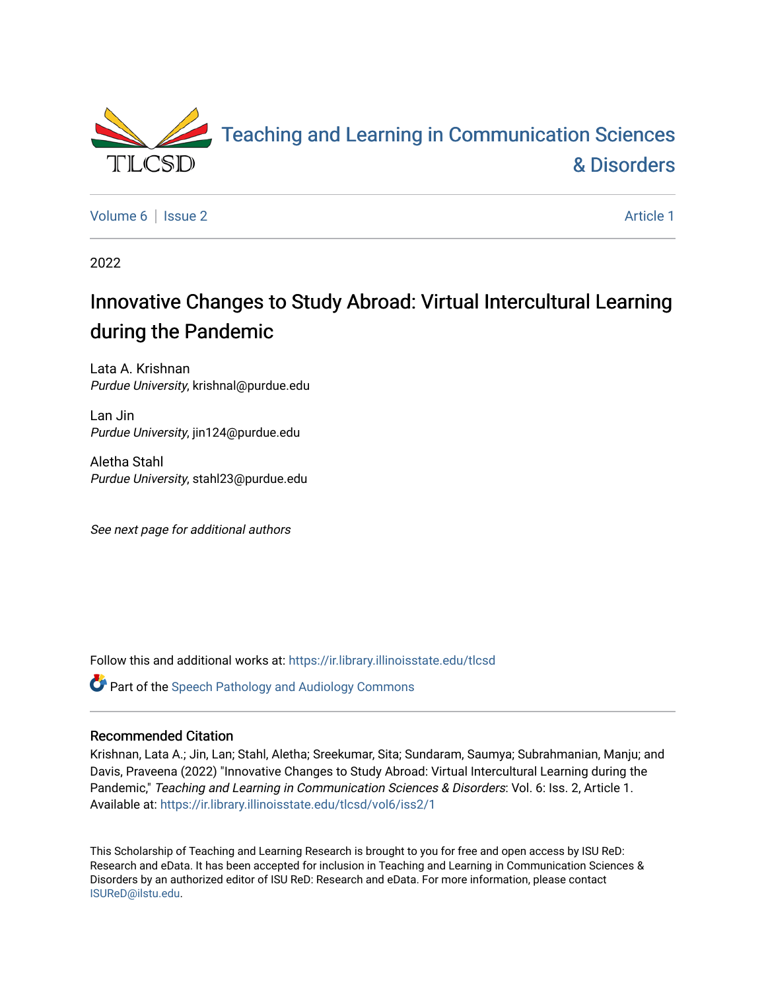

[Volume 6](https://ir.library.illinoisstate.edu/tlcsd/vol6) | [Issue 2](https://ir.library.illinoisstate.edu/tlcsd/vol6/iss2) Article 1

2022

# Innovative Changes to Study Abroad: Virtual Intercultural Learning during the Pandemic

Lata A. Krishnan Purdue University, krishnal@purdue.edu

Lan Jin Purdue University, jin124@purdue.edu

Aletha Stahl Purdue University, stahl23@purdue.edu

See next page for additional authors

Follow this and additional works at: [https://ir.library.illinoisstate.edu/tlcsd](https://ir.library.illinoisstate.edu/tlcsd?utm_source=ir.library.illinoisstate.edu%2Ftlcsd%2Fvol6%2Fiss2%2F1&utm_medium=PDF&utm_campaign=PDFCoverPages)

**Part of the Speech Pathology and Audiology Commons** 

#### Recommended Citation

Krishnan, Lata A.; Jin, Lan; Stahl, Aletha; Sreekumar, Sita; Sundaram, Saumya; Subrahmanian, Manju; and Davis, Praveena (2022) "Innovative Changes to Study Abroad: Virtual Intercultural Learning during the Pandemic," Teaching and Learning in Communication Sciences & Disorders: Vol. 6: Iss. 2, Article 1. Available at: [https://ir.library.illinoisstate.edu/tlcsd/vol6/iss2/1](https://ir.library.illinoisstate.edu/tlcsd/vol6/iss2/1?utm_source=ir.library.illinoisstate.edu%2Ftlcsd%2Fvol6%2Fiss2%2F1&utm_medium=PDF&utm_campaign=PDFCoverPages) 

This Scholarship of Teaching and Learning Research is brought to you for free and open access by ISU ReD: Research and eData. It has been accepted for inclusion in Teaching and Learning in Communication Sciences & Disorders by an authorized editor of ISU ReD: Research and eData. For more information, please contact [ISUReD@ilstu.edu](mailto:ISUReD@ilstu.edu).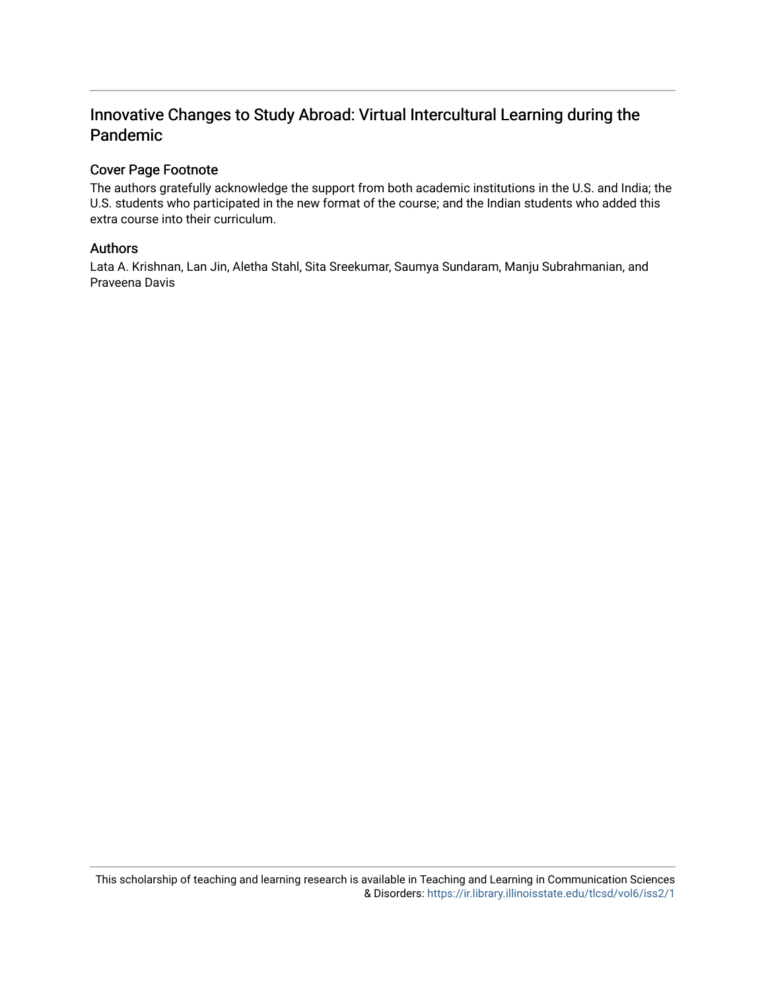# Innovative Changes to Study Abroad: Virtual Intercultural Learning during the Pandemic

#### Cover Page Footnote

The authors gratefully acknowledge the support from both academic institutions in the U.S. and India; the U.S. students who participated in the new format of the course; and the Indian students who added this extra course into their curriculum.

#### Authors

Lata A. Krishnan, Lan Jin, Aletha Stahl, Sita Sreekumar, Saumya Sundaram, Manju Subrahmanian, and Praveena Davis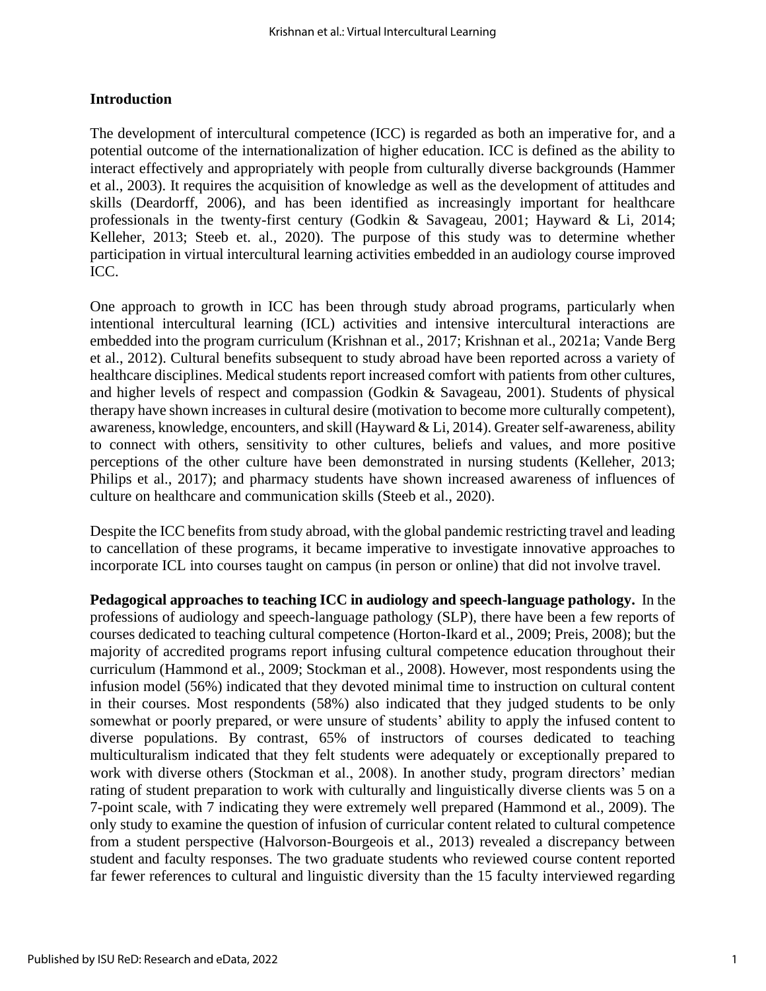#### **Introduction**

The development of intercultural competence (ICC) is regarded as both an imperative for, and a potential outcome of the internationalization of higher education. ICC is defined as the ability to interact effectively and appropriately with people from culturally diverse backgrounds (Hammer et al., 2003). It requires the acquisition of knowledge as well as the development of attitudes and skills (Deardorff, 2006), and has been identified as increasingly important for healthcare professionals in the twenty-first century (Godkin & Savageau, 2001; Hayward & Li, 2014; Kelleher, 2013; Steeb et. al., 2020). The purpose of this study was to determine whether participation in virtual intercultural learning activities embedded in an audiology course improved ICC.

One approach to growth in ICC has been through study abroad programs, particularly when intentional intercultural learning (ICL) activities and intensive intercultural interactions are embedded into the program curriculum (Krishnan et al., 2017; Krishnan et al., 2021a; Vande Berg et al., 2012). Cultural benefits subsequent to study abroad have been reported across a variety of healthcare disciplines. Medical students report increased comfort with patients from other cultures, and higher levels of respect and compassion (Godkin & Savageau, 2001). Students of physical therapy have shown increases in cultural desire (motivation to become more culturally competent), awareness, knowledge, encounters, and skill (Hayward & Li, 2014). Greater self-awareness, ability to connect with others, sensitivity to other cultures, beliefs and values, and more positive perceptions of the other culture have been demonstrated in nursing students (Kelleher, 2013; Philips et al., 2017); and pharmacy students have shown increased awareness of influences of culture on healthcare and communication skills (Steeb et al., 2020).

Despite the ICC benefits from study abroad, with the global pandemic restricting travel and leading to cancellation of these programs, it became imperative to investigate innovative approaches to incorporate ICL into courses taught on campus (in person or online) that did not involve travel.

**Pedagogical approaches to teaching ICC in audiology and speech-language pathology.** In the professions of audiology and speech-language pathology (SLP), there have been a few reports of courses dedicated to teaching cultural competence (Horton-Ikard et al., 2009; Preis, 2008); but the majority of accredited programs report infusing cultural competence education throughout their curriculum (Hammond et al., 2009; Stockman et al., 2008). However, most respondents using the infusion model (56%) indicated that they devoted minimal time to instruction on cultural content in their courses. Most respondents (58%) also indicated that they judged students to be only somewhat or poorly prepared, or were unsure of students' ability to apply the infused content to diverse populations. By contrast, 65% of instructors of courses dedicated to teaching multiculturalism indicated that they felt students were adequately or exceptionally prepared to work with diverse others (Stockman et al., 2008). In another study, program directors' median rating of student preparation to work with culturally and linguistically diverse clients was 5 on a 7-point scale, with 7 indicating they were extremely well prepared (Hammond et al., 2009). The only study to examine the question of infusion of curricular content related to cultural competence from a student perspective (Halvorson-Bourgeois et al., 2013) revealed a discrepancy between student and faculty responses. The two graduate students who reviewed course content reported far fewer references to cultural and linguistic diversity than the 15 faculty interviewed regarding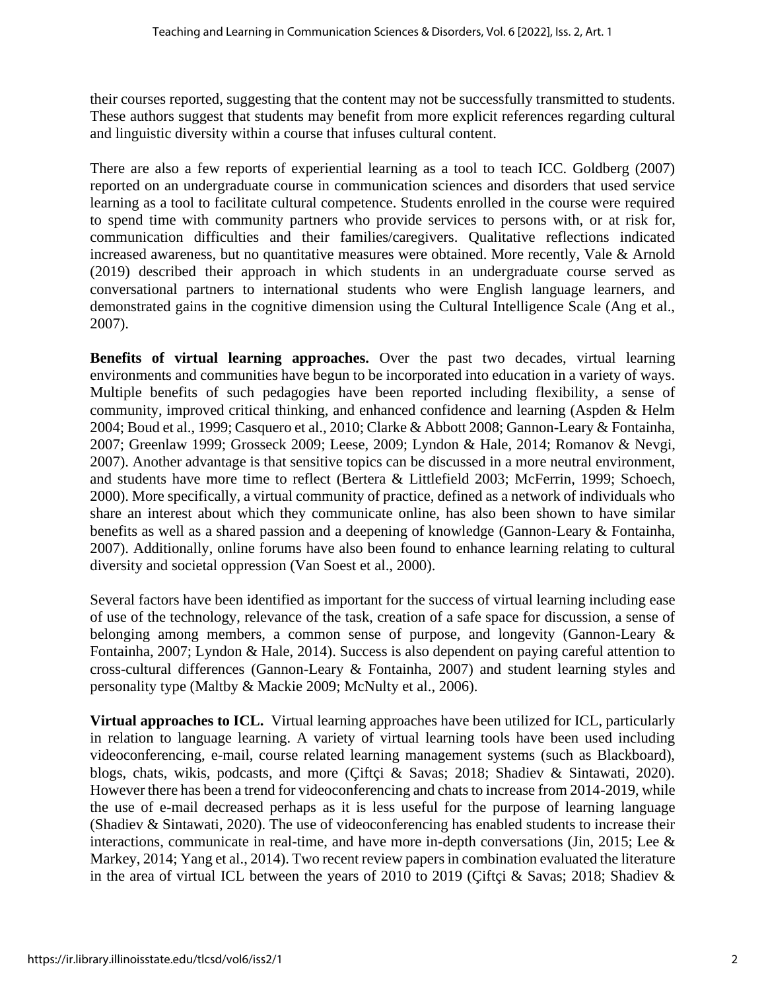their courses reported, suggesting that the content may not be successfully transmitted to students. These authors suggest that students may benefit from more explicit references regarding cultural and linguistic diversity within a course that infuses cultural content.

There are also a few reports of experiential learning as a tool to teach ICC. Goldberg (2007) reported on an undergraduate course in communication sciences and disorders that used service learning as a tool to facilitate cultural competence. Students enrolled in the course were required to spend time with community partners who provide services to persons with, or at risk for, communication difficulties and their families/caregivers. Qualitative reflections indicated increased awareness, but no quantitative measures were obtained. More recently, Vale & Arnold (2019) described their approach in which students in an undergraduate course served as conversational partners to international students who were English language learners, and demonstrated gains in the cognitive dimension using the Cultural Intelligence Scale (Ang et al., 2007).

**Benefits of virtual learning approaches.** Over the past two decades, virtual learning environments and communities have begun to be incorporated into education in a variety of ways. Multiple benefits of such pedagogies have been reported including flexibility, a sense of community, improved critical thinking, and enhanced confidence and learning (Aspden & Helm 2004; Boud et al., 1999; Casquero et al., 2010; Clarke & Abbott 2008; Gannon-Leary & Fontainha, 2007; Greenlaw 1999; Grosseck 2009; Leese, 2009; Lyndon & Hale, 2014; Romanov & Nevgi, 2007). Another advantage is that sensitive topics can be discussed in a more neutral environment, and students have more time to reflect (Bertera & Littlefield 2003; McFerrin, 1999; Schoech, 2000). More specifically, a virtual community of practice, defined as a network of individuals who share an interest about which they communicate online, has also been shown to have similar benefits as well as a shared passion and a deepening of knowledge (Gannon-Leary & Fontainha, 2007). Additionally, online forums have also been found to enhance learning relating to cultural diversity and societal oppression (Van Soest et al., 2000).

Several factors have been identified as important for the success of virtual learning including ease of use of the technology, relevance of the task, creation of a safe space for discussion, a sense of belonging among members, a common sense of purpose, and longevity (Gannon-Leary & Fontainha, 2007; Lyndon & Hale, 2014). Success is also dependent on paying careful attention to cross-cultural differences (Gannon-Leary & Fontainha, 2007) and student learning styles and personality type (Maltby & Mackie 2009; McNulty et al., 2006).

**Virtual approaches to ICL.** Virtual learning approaches have been utilized for ICL, particularly in relation to language learning. A variety of virtual learning tools have been used including videoconferencing, e-mail, course related learning management systems (such as Blackboard), blogs, chats, wikis, podcasts, and more (Çiftçi & Savas; 2018; Shadiev & Sintawati, 2020). However there has been a trend for videoconferencing and chats to increase from 2014-2019, while the use of e-mail decreased perhaps as it is less useful for the purpose of learning language (Shadiev & Sintawati, 2020). The use of videoconferencing has enabled students to increase their interactions, communicate in real-time, and have more in-depth conversations (Jin, 2015; Lee & Markey, 2014; Yang et al., 2014). Two recent review papers in combination evaluated the literature in the area of virtual ICL between the years of 2010 to 2019 (Çiftçi & Savas; 2018; Shadiev &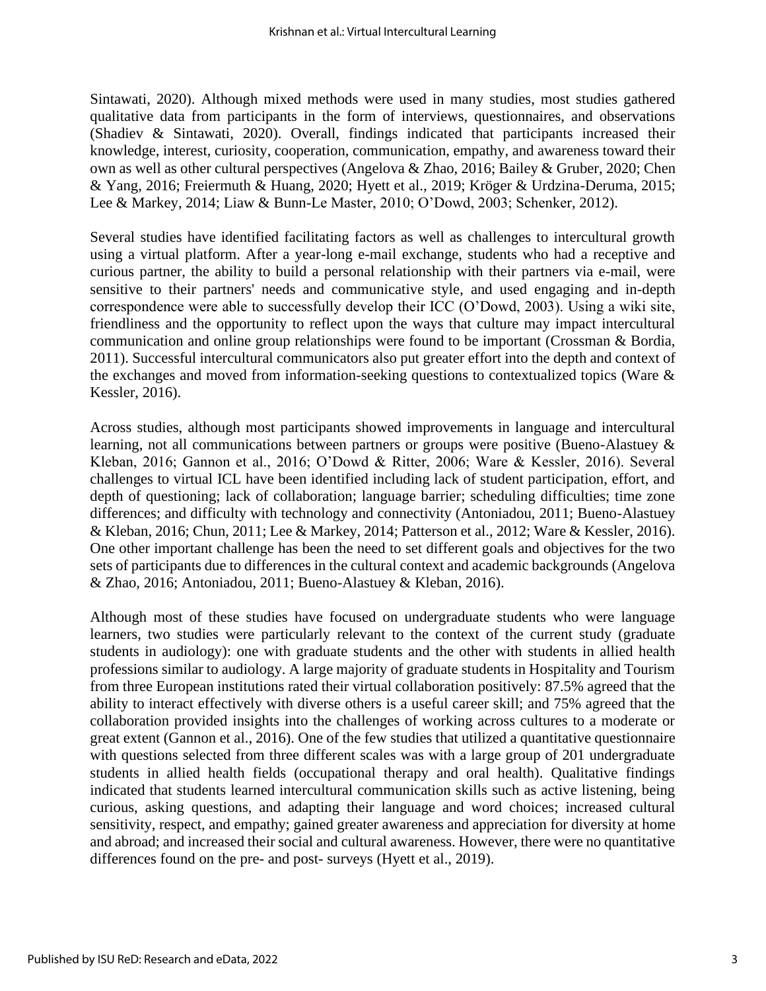Sintawati, 2020). Although mixed methods were used in many studies, most studies gathered qualitative data from participants in the form of interviews, questionnaires, and observations (Shadiev & Sintawati, 2020). Overall, findings indicated that participants increased their knowledge, interest, curiosity, cooperation, communication, empathy, and awareness toward their own as well as other cultural perspectives (Angelova & Zhao, 2016; Bailey & Gruber, 2020; Chen & Yang, 2016; Freiermuth & Huang, 2020; Hyett et al., 2019; Kröger & Urdzina-Deruma, 2015; Lee & Markey, 2014; Liaw & Bunn-Le Master, 2010; O'Dowd, 2003; Schenker, 2012).

Several studies have identified facilitating factors as well as challenges to intercultural growth using a virtual platform. After a year-long e-mail exchange, students who had a receptive and curious partner, the ability to build a personal relationship with their partners via e-mail, were sensitive to their partners' needs and communicative style, and used engaging and in-depth correspondence were able to successfully develop their ICC (O'Dowd, 2003). Using a wiki site, friendliness and the opportunity to reflect upon the ways that culture may impact intercultural communication and online group relationships were found to be important (Crossman & Bordia, 2011). Successful intercultural communicators also put greater effort into the depth and context of the exchanges and moved from information-seeking questions to contextualized topics (Ware & Kessler, 2016).

Across studies, although most participants showed improvements in language and intercultural learning, not all communications between partners or groups were positive (Bueno-Alastuey & Kleban, 2016; Gannon et al., 2016; O'Dowd & Ritter, 2006; Ware & Kessler, 2016). Several challenges to virtual ICL have been identified including lack of student participation, effort, and depth of questioning; lack of collaboration; language barrier; scheduling difficulties; time zone differences; and difficulty with technology and connectivity (Antoniadou, 2011; Bueno-Alastuey & Kleban, 2016; Chun, 2011; Lee & Markey, 2014; Patterson et al., 2012; Ware & Kessler, 2016). One other important challenge has been the need to set different goals and objectives for the two sets of participants due to differences in the cultural context and academic backgrounds (Angelova & Zhao, 2016; Antoniadou, 2011; Bueno-Alastuey & Kleban, 2016).

Although most of these studies have focused on undergraduate students who were language learners, two studies were particularly relevant to the context of the current study (graduate students in audiology): one with graduate students and the other with students in allied health professions similar to audiology. A large majority of graduate students in Hospitality and Tourism from three European institutions rated their virtual collaboration positively: 87.5% agreed that the ability to interact effectively with diverse others is a useful career skill; and 75% agreed that the collaboration provided insights into the challenges of working across cultures to a moderate or great extent (Gannon et al., 2016). One of the few studies that utilized a quantitative questionnaire with questions selected from three different scales was with a large group of 201 undergraduate students in allied health fields (occupational therapy and oral health). Qualitative findings indicated that students learned intercultural communication skills such as active listening, being curious, asking questions, and adapting their language and word choices; increased cultural sensitivity, respect, and empathy; gained greater awareness and appreciation for diversity at home and abroad; and increased their social and cultural awareness. However, there were no quantitative differences found on the pre- and post- surveys (Hyett et al., 2019).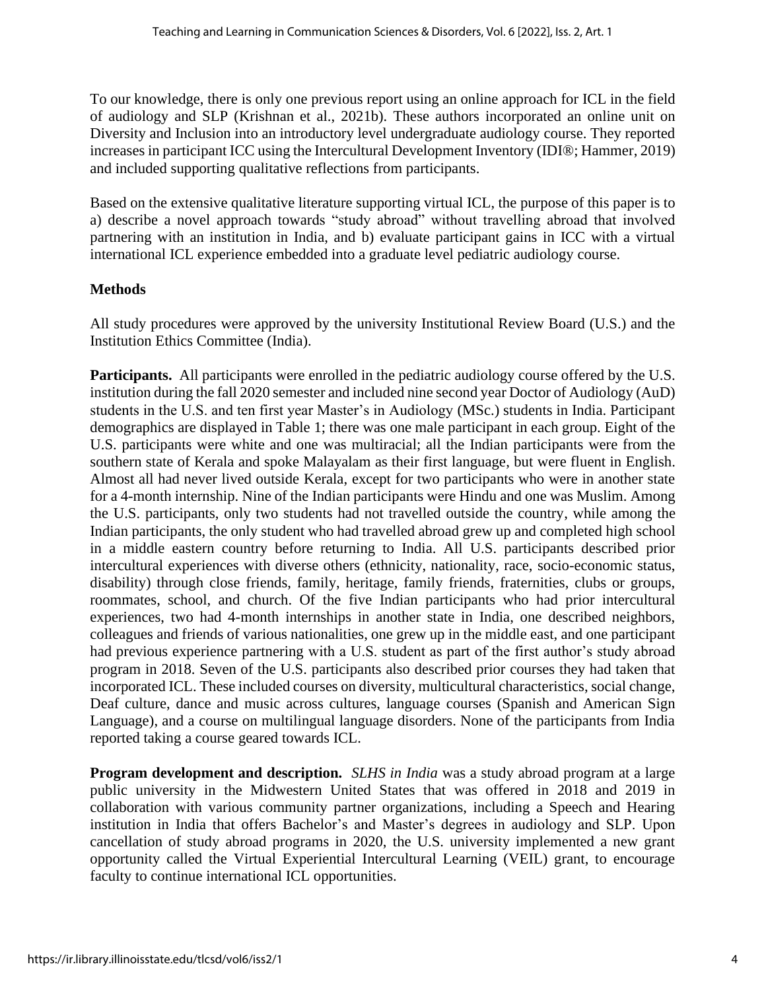To our knowledge, there is only one previous report using an online approach for ICL in the field of audiology and SLP (Krishnan et al., 2021b). These authors incorporated an online unit on Diversity and Inclusion into an introductory level undergraduate audiology course. They reported increases in participant ICC using the Intercultural Development Inventory (IDI®; Hammer, 2019) and included supporting qualitative reflections from participants.

Based on the extensive qualitative literature supporting virtual ICL, the purpose of this paper is to a) describe a novel approach towards "study abroad" without travelling abroad that involved partnering with an institution in India, and b) evaluate participant gains in ICC with a virtual international ICL experience embedded into a graduate level pediatric audiology course.

# **Methods**

All study procedures were approved by the university Institutional Review Board (U.S.) and the Institution Ethics Committee (India).

**Participants.** All participants were enrolled in the pediatric audiology course offered by the U.S. institution during the fall 2020 semester and included nine second year Doctor of Audiology (AuD) students in the U.S. and ten first year Master's in Audiology (MSc.) students in India. Participant demographics are displayed in Table 1; there was one male participant in each group. Eight of the U.S. participants were white and one was multiracial; all the Indian participants were from the southern state of Kerala and spoke Malayalam as their first language, but were fluent in English. Almost all had never lived outside Kerala, except for two participants who were in another state for a 4-month internship. Nine of the Indian participants were Hindu and one was Muslim. Among the U.S. participants, only two students had not travelled outside the country, while among the Indian participants, the only student who had travelled abroad grew up and completed high school in a middle eastern country before returning to India. All U.S. participants described prior intercultural experiences with diverse others (ethnicity, nationality, race, socio-economic status, disability) through close friends, family, heritage, family friends, fraternities, clubs or groups, roommates, school, and church. Of the five Indian participants who had prior intercultural experiences, two had 4-month internships in another state in India, one described neighbors, colleagues and friends of various nationalities, one grew up in the middle east, and one participant had previous experience partnering with a U.S. student as part of the first author's study abroad program in 2018. Seven of the U.S. participants also described prior courses they had taken that incorporated ICL. These included courses on diversity, multicultural characteristics, social change, Deaf culture, dance and music across cultures, language courses (Spanish and American Sign Language), and a course on multilingual language disorders. None of the participants from India reported taking a course geared towards ICL.

**Program development and description.** *SLHS in India* was a study abroad program at a large public university in the Midwestern United States that was offered in 2018 and 2019 in collaboration with various community partner organizations, including a Speech and Hearing institution in India that offers Bachelor's and Master's degrees in audiology and SLP. Upon cancellation of study abroad programs in 2020, the U.S. university implemented a new grant opportunity called the Virtual Experiential Intercultural Learning (VEIL) grant, to encourage faculty to continue international ICL opportunities.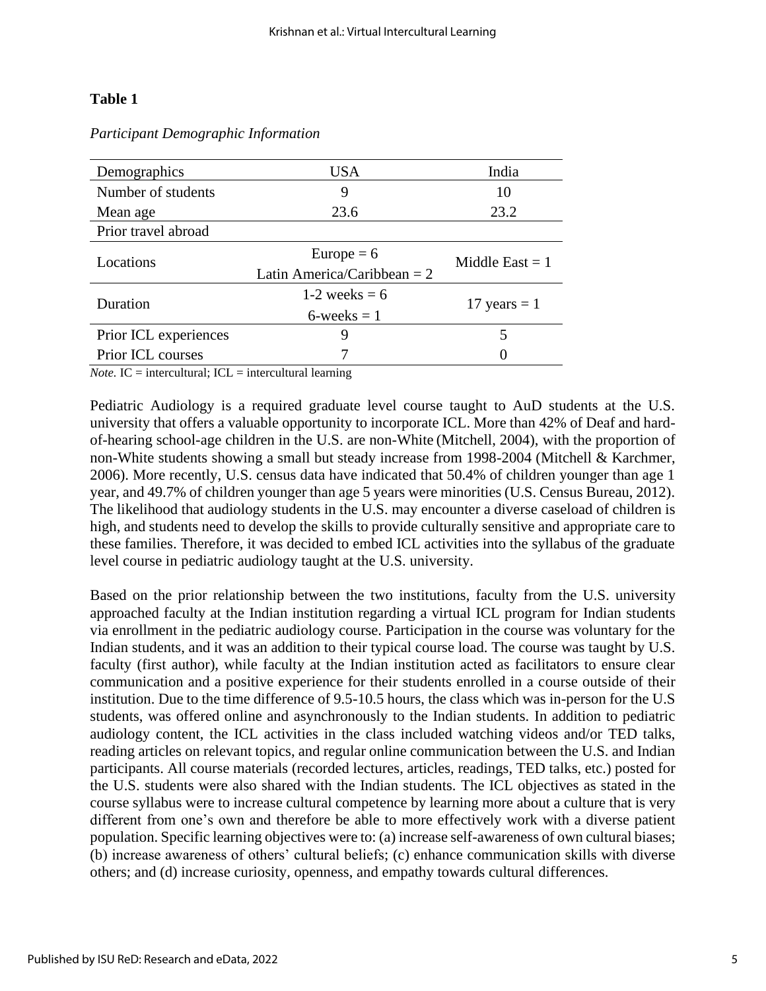# **Table 1**

| Demographics             | <b>USA</b>                    | India             |  |
|--------------------------|-------------------------------|-------------------|--|
| Number of students       | 9                             | 10                |  |
| Mean age                 | 23.6                          | 23.2              |  |
| Prior travel abroad      |                               |                   |  |
| Locations                | Europe $= 6$                  | Middle East $= 1$ |  |
|                          | Latin America/Caribbean = $2$ |                   |  |
| Duration                 | 1-2 weeks $= 6$               | 17 years $=$ 1    |  |
|                          | $6$ -weeks = 1                |                   |  |
| Prior ICL experiences    | 9                             |                   |  |
| <b>Prior ICL courses</b> |                               |                   |  |

#### *Participant Demographic Information*

*Note.* IC = intercultural; ICL = intercultural learning

Pediatric Audiology is a required graduate level course taught to AuD students at the U.S. university that offers a valuable opportunity to incorporate ICL. More than 42% of Deaf and hardof-hearing school-age children in the U.S. are non-White (Mitchell, 2004), with the proportion of non-White students showing a small but steady increase from 1998-2004 (Mitchell & Karchmer, 2006). More recently, U.S. census data have indicated that 50.4% of children younger than age 1 year, and 49.7% of children younger than age 5 years were minorities (U.S. Census Bureau, 2012). The likelihood that audiology students in the U.S. may encounter a diverse caseload of children is high, and students need to develop the skills to provide culturally sensitive and appropriate care to these families. Therefore, it was decided to embed ICL activities into the syllabus of the graduate level course in pediatric audiology taught at the U.S. university.

Based on the prior relationship between the two institutions, faculty from the U.S. university approached faculty at the Indian institution regarding a virtual ICL program for Indian students via enrollment in the pediatric audiology course. Participation in the course was voluntary for the Indian students, and it was an addition to their typical course load. The course was taught by U.S. faculty (first author), while faculty at the Indian institution acted as facilitators to ensure clear communication and a positive experience for their students enrolled in a course outside of their institution. Due to the time difference of 9.5-10.5 hours, the class which was in-person for the U.S students, was offered online and asynchronously to the Indian students. In addition to pediatric audiology content, the ICL activities in the class included watching videos and/or TED talks, reading articles on relevant topics, and regular online communication between the U.S. and Indian participants. All course materials (recorded lectures, articles, readings, TED talks, etc.) posted for the U.S. students were also shared with the Indian students. The ICL objectives as stated in the course syllabus were to increase cultural competence by learning more about a culture that is very different from one's own and therefore be able to more effectively work with a diverse patient population. Specific learning objectives were to: (a) increase self-awareness of own cultural biases; (b) increase awareness of others' cultural beliefs; (c) enhance communication skills with diverse others; and (d) increase curiosity, openness, and empathy towards cultural differences.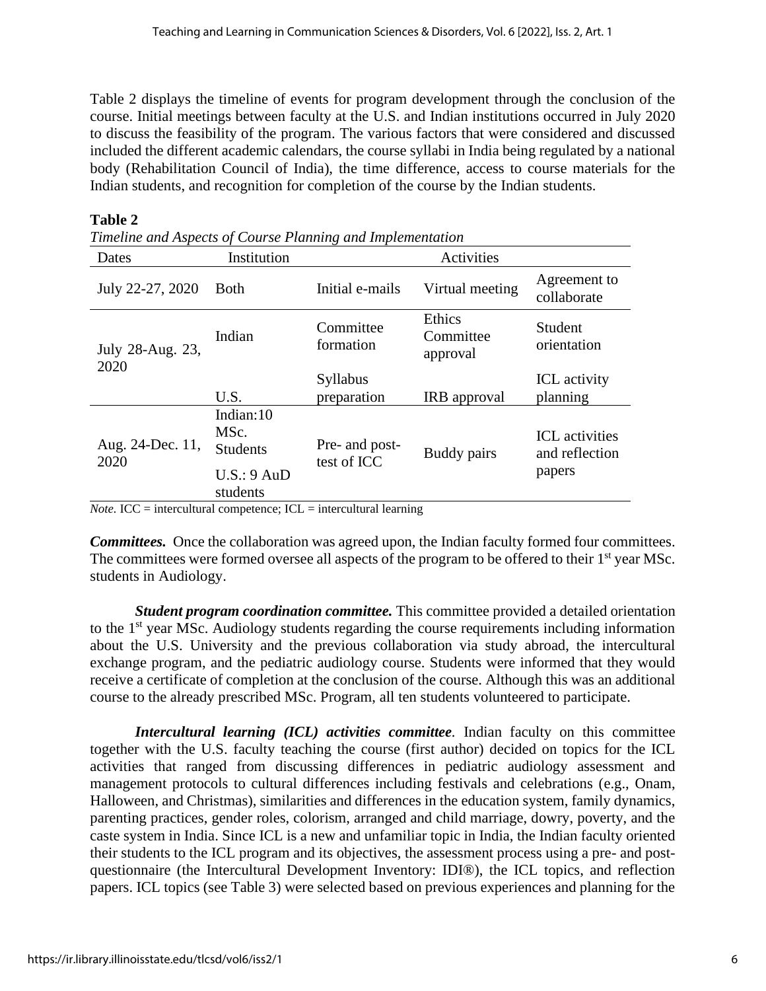Table 2 displays the timeline of events for program development through the conclusion of the course. Initial meetings between faculty at the U.S. and Indian institutions occurred in July 2020 to discuss the feasibility of the program. The various factors that were considered and discussed included the different academic calendars, the course syllabi in India being regulated by a national body (Rehabilitation Council of India), the time difference, access to course materials for the Indian students, and recognition for completion of the course by the Indian students.

| Dates                    | Institution                                                                  |                               | Activities                      |                                                   |
|--------------------------|------------------------------------------------------------------------------|-------------------------------|---------------------------------|---------------------------------------------------|
| July 22-27, 2020         | <b>Both</b>                                                                  | Initial e-mails               | Virtual meeting                 | Agreement to<br>collaborate                       |
| July 28-Aug. 23,<br>2020 | Indian                                                                       | Committee<br>formation        | Ethics<br>Committee<br>approval | Student<br>orientation                            |
|                          | U.S.                                                                         | Syllabus<br>preparation       | IRB approval                    | ICL activity<br>planning                          |
| Aug. 24-Dec. 11,<br>2020 | Indian:10<br>MSc.<br><b>Students</b><br>U.S.: 9 A <sub>u</sub> D<br>students | Pre- and post-<br>test of ICC | Buddy pairs                     | <b>ICL</b> activities<br>and reflection<br>papers |

#### **Table 2**

*Timeline and Aspects of Course Planning and Implementation*

*Note.* ICC = intercultural competence; ICL = intercultural learning

*Committees.* Once the collaboration was agreed upon, the Indian faculty formed four committees. The committees were formed oversee all aspects of the program to be offered to their 1<sup>st</sup> year MSc. students in Audiology.

*Student program coordination committee.* This committee provided a detailed orientation to the 1<sup>st</sup> year MSc. Audiology students regarding the course requirements including information about the U.S. University and the previous collaboration via study abroad, the intercultural exchange program, and the pediatric audiology course. Students were informed that they would receive a certificate of completion at the conclusion of the course. Although this was an additional course to the already prescribed MSc. Program, all ten students volunteered to participate.

*Intercultural learning (ICL) activities committee.* Indian faculty on this committee together with the U.S. faculty teaching the course (first author) decided on topics for the ICL activities that ranged from discussing differences in pediatric audiology assessment and management protocols to cultural differences including festivals and celebrations (e.g., Onam, Halloween, and Christmas), similarities and differences in the education system, family dynamics, parenting practices, gender roles, colorism, arranged and child marriage, dowry, poverty, and the caste system in India. Since ICL is a new and unfamiliar topic in India, the Indian faculty oriented their students to the ICL program and its objectives, the assessment process using a pre- and postquestionnaire (the Intercultural Development Inventory: IDI®), the ICL topics, and reflection papers. ICL topics (see Table 3) were selected based on previous experiences and planning for the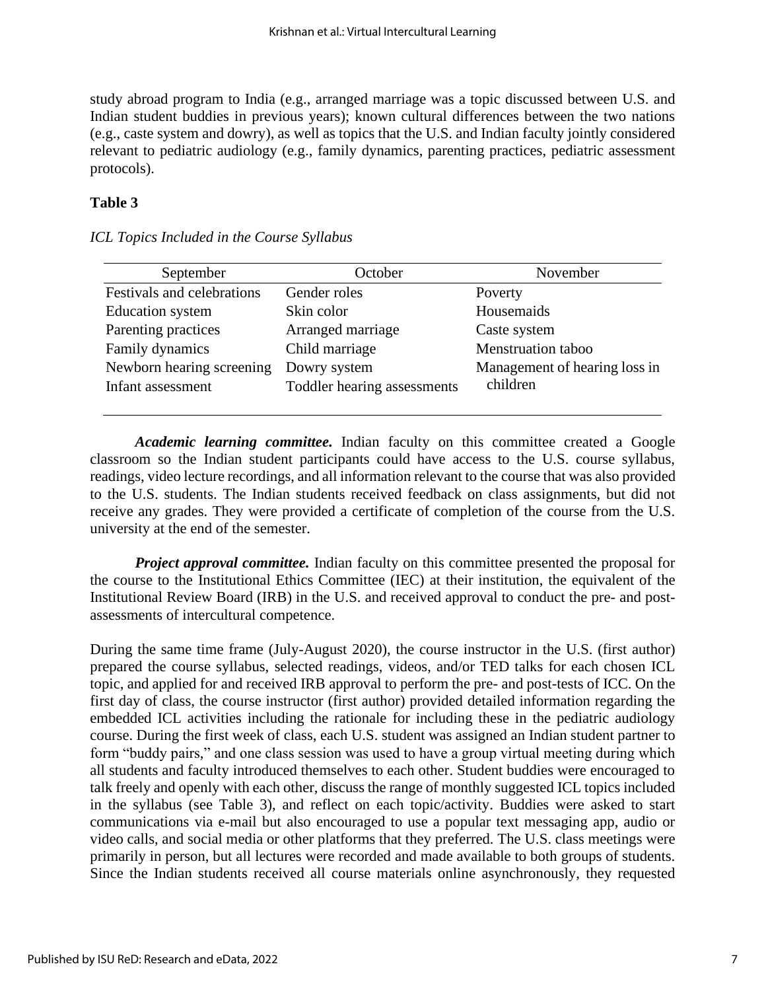study abroad program to India (e.g., arranged marriage was a topic discussed between U.S. and Indian student buddies in previous years); known cultural differences between the two nations (e.g., caste system and dowry), as well as topics that the U.S. and Indian faculty jointly considered relevant to pediatric audiology (e.g., family dynamics, parenting practices, pediatric assessment protocols).

## **Table 3**

| September                  | October                     | November                      |
|----------------------------|-----------------------------|-------------------------------|
| Festivals and celebrations | Gender roles                | Poverty                       |
| <b>Education</b> system    | Skin color                  | Housemaids                    |
| Parenting practices        | Arranged marriage           | Caste system                  |
| Family dynamics            | Child marriage              | Menstruation taboo            |
| Newborn hearing screening  | Dowry system                | Management of hearing loss in |
| Infant assessment          | Toddler hearing assessments | children                      |
|                            |                             |                               |

#### *ICL Topics Included in the Course Syllabus*

*Academic learning committee.* Indian faculty on this committee created a Google classroom so the Indian student participants could have access to the U.S. course syllabus, readings, video lecture recordings, and all information relevant to the course that was also provided to the U.S. students. The Indian students received feedback on class assignments, but did not receive any grades. They were provided a certificate of completion of the course from the U.S. university at the end of the semester.

*Project approval committee.* Indian faculty on this committee presented the proposal for the course to the Institutional Ethics Committee (IEC) at their institution, the equivalent of the Institutional Review Board (IRB) in the U.S. and received approval to conduct the pre- and postassessments of intercultural competence.

During the same time frame (July-August 2020), the course instructor in the U.S. (first author) prepared the course syllabus, selected readings, videos, and/or TED talks for each chosen ICL topic, and applied for and received IRB approval to perform the pre- and post-tests of ICC. On the first day of class, the course instructor (first author) provided detailed information regarding the embedded ICL activities including the rationale for including these in the pediatric audiology course. During the first week of class, each U.S. student was assigned an Indian student partner to form "buddy pairs," and one class session was used to have a group virtual meeting during which all students and faculty introduced themselves to each other. Student buddies were encouraged to talk freely and openly with each other, discuss the range of monthly suggested ICL topics included in the syllabus (see Table 3), and reflect on each topic/activity. Buddies were asked to start communications via e-mail but also encouraged to use a popular text messaging app, audio or video calls, and social media or other platforms that they preferred. The U.S. class meetings were primarily in person, but all lectures were recorded and made available to both groups of students. Since the Indian students received all course materials online asynchronously, they requested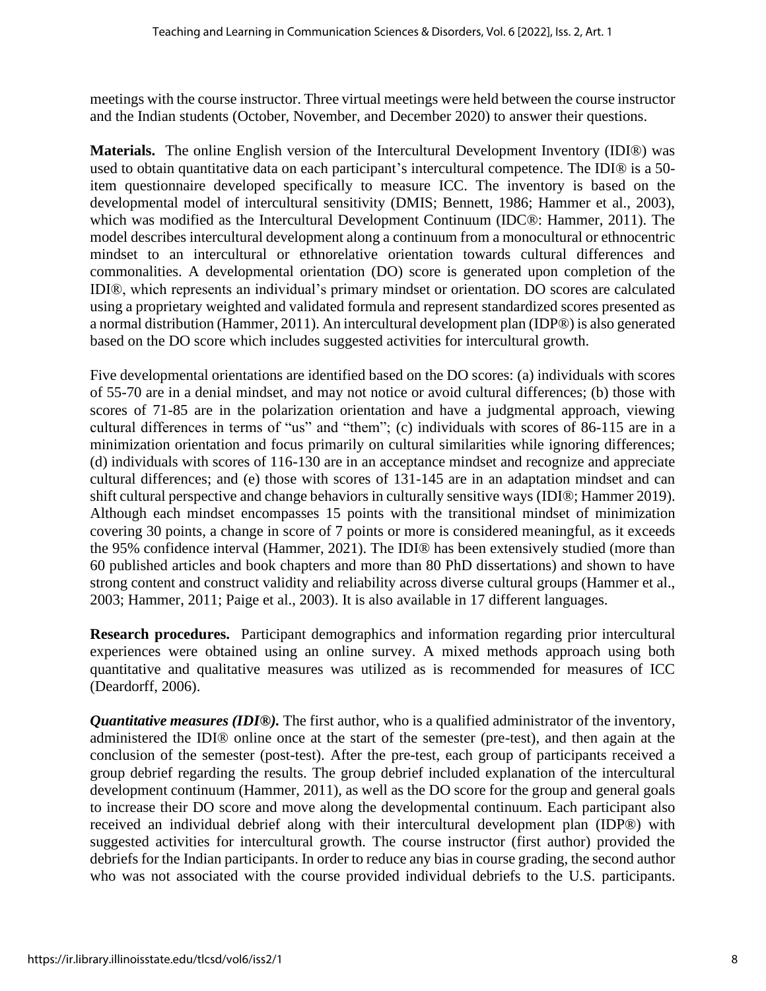meetings with the course instructor. Three virtual meetings were held between the course instructor and the Indian students (October, November, and December 2020) to answer their questions.

**Materials.** The online English version of the Intercultural Development Inventory (IDI®) was used to obtain quantitative data on each participant's intercultural competence. The IDI® is a 50 item questionnaire developed specifically to measure ICC. The inventory is based on the developmental model of intercultural sensitivity (DMIS; Bennett, 1986; Hammer et al., 2003), which was modified as the Intercultural Development Continuum (IDC®: Hammer, 2011). The model describes intercultural development along a continuum from a monocultural or ethnocentric mindset to an intercultural or ethnorelative orientation towards cultural differences and commonalities. A developmental orientation (DO) score is generated upon completion of the IDI®, which represents an individual's primary mindset or orientation. DO scores are calculated using a proprietary weighted and validated formula and represent standardized scores presented as a normal distribution (Hammer, 2011). An intercultural development plan (IDP®) is also generated based on the DO score which includes suggested activities for intercultural growth.

Five developmental orientations are identified based on the DO scores: (a) individuals with scores of 55-70 are in a denial mindset, and may not notice or avoid cultural differences; (b) those with scores of 71-85 are in the polarization orientation and have a judgmental approach, viewing cultural differences in terms of "us" and "them"; (c) individuals with scores of 86-115 are in a minimization orientation and focus primarily on cultural similarities while ignoring differences; (d) individuals with scores of 116-130 are in an acceptance mindset and recognize and appreciate cultural differences; and (e) those with scores of 131-145 are in an adaptation mindset and can shift cultural perspective and change behaviors in culturally sensitive ways (IDI®; Hammer 2019). Although each mindset encompasses 15 points with the transitional mindset of minimization covering 30 points, a change in score of 7 points or more is considered meaningful, as it exceeds the 95% confidence interval (Hammer, 2021). The IDI® has been extensively studied (more than 60 published articles and book chapters and more than 80 PhD dissertations) and shown to have strong content and construct validity and reliability across diverse cultural groups (Hammer et al., 2003; Hammer, 2011; Paige et al., 2003). It is also available in 17 different languages.

**Research procedures.** Participant demographics and information regarding prior intercultural experiences were obtained using an online survey. A mixed methods approach using both quantitative and qualitative measures was utilized as is recommended for measures of ICC (Deardorff, 2006).

*Quantitative measures (IDI<sup>®</sup>).* The first author, who is a qualified administrator of the inventory, administered the IDI® online once at the start of the semester (pre-test), and then again at the conclusion of the semester (post-test). After the pre-test, each group of participants received a group debrief regarding the results. The group debrief included explanation of the intercultural development continuum (Hammer, 2011), as well as the DO score for the group and general goals to increase their DO score and move along the developmental continuum. Each participant also received an individual debrief along with their intercultural development plan (IDP®) with suggested activities for intercultural growth. The course instructor (first author) provided the debriefs for the Indian participants. In order to reduce any bias in course grading, the second author who was not associated with the course provided individual debriefs to the U.S. participants.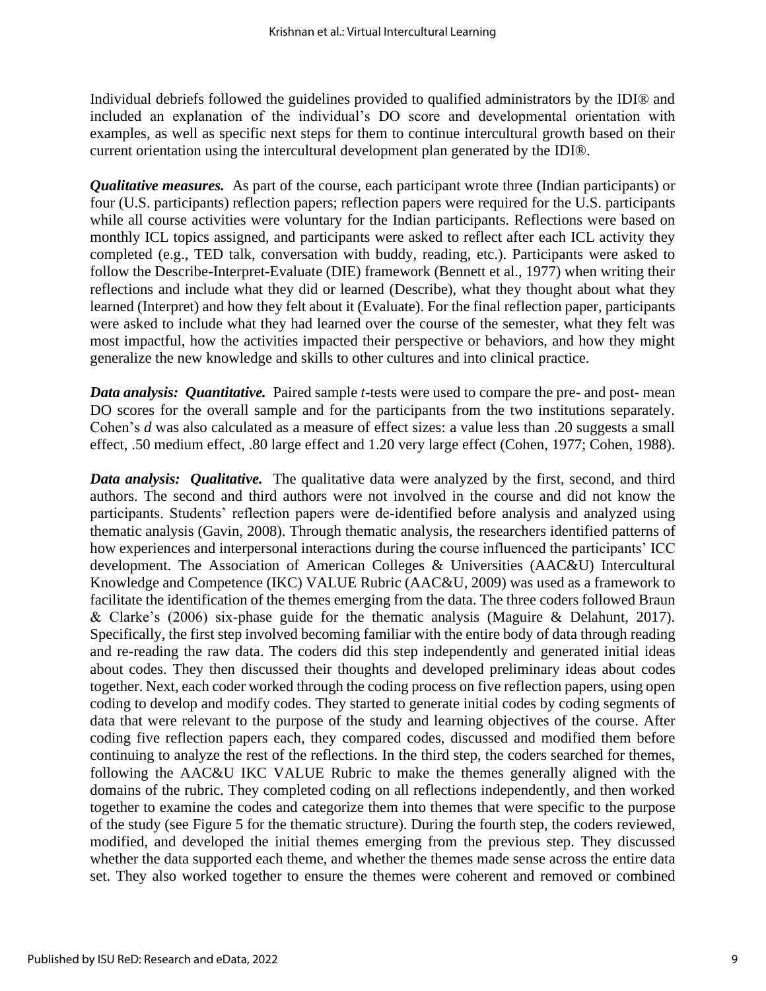Individual debriefs followed the guidelines provided to qualified administrators by the IDI® and included an explanation of the individual's DO score and developmental orientation with examples, as well as specific next steps for them to continue intercultural growth based on their current orientation using the intercultural development plan generated by the IDI®.

*Qualitative measures.* As part of the course, each participant wrote three (Indian participants) or four (U.S. participants) reflection papers; reflection papers were required for the U.S. participants while all course activities were voluntary for the Indian participants. Reflections were based on monthly ICL topics assigned, and participants were asked to reflect after each ICL activity they completed (e.g., TED talk, conversation with buddy, reading, etc.). Participants were asked to follow the Describe-Interpret-Evaluate (DIE) framework (Bennett et al., 1977) when writing their reflections and include what they did or learned (Describe), what they thought about what they learned (Interpret) and how they felt about it (Evaluate). For the final reflection paper, participants were asked to include what they had learned over the course of the semester, what they felt was most impactful, how the activities impacted their perspective or behaviors, and how they might generalize the new knowledge and skills to other cultures and into clinical practice.

*Data analysis: Quantitative.* Paired sample *t*-tests were used to compare the pre- and post- mean DO scores for the overall sample and for the participants from the two institutions separately. Cohen's *d* was also calculated as a measure of effect sizes: a value less than .20 suggests a small effect, .50 medium effect, .80 large effect and 1.20 very large effect (Cohen, 1977; Cohen, 1988).

**Data analysis:** Qualitative. The qualitative data were analyzed by the first, second, and third authors. The second and third authors were not involved in the course and did not know the participants. Students' reflection papers were de-identified before analysis and analyzed using thematic analysis (Gavin, 2008). Through thematic analysis, the researchers identified patterns of how experiences and interpersonal interactions during the course influenced the participants' ICC development. The Association of American Colleges & Universities (AAC&U) Intercultural Knowledge and Competence (IKC) VALUE Rubric (AAC&U, 2009) was used as a framework to facilitate the identification of the themes emerging from the data. The three coders followed Braun & Clarke's (2006) six-phase guide for the thematic analysis (Maguire & Delahunt, 2017). Specifically, the first step involved becoming familiar with the entire body of data through reading and re-reading the raw data. The coders did this step independently and generated initial ideas about codes. They then discussed their thoughts and developed preliminary ideas about codes together. Next, each coder worked through the coding process on five reflection papers, using open coding to develop and modify codes. They started to generate initial codes by coding segments of data that were relevant to the purpose of the study and learning objectives of the course. After coding five reflection papers each, they compared codes, discussed and modified them before continuing to analyze the rest of the reflections. In the third step, the coders searched for themes, following the AAC&U IKC VALUE Rubric to make the themes generally aligned with the domains of the rubric. They completed coding on all reflections independently, and then worked together to examine the codes and categorize them into themes that were specific to the purpose of the study (see Figure 5 for the thematic structure). During the fourth step, the coders reviewed, modified, and developed the initial themes emerging from the previous step. They discussed whether the data supported each theme, and whether the themes made sense across the entire data set. They also worked together to ensure the themes were coherent and removed or combined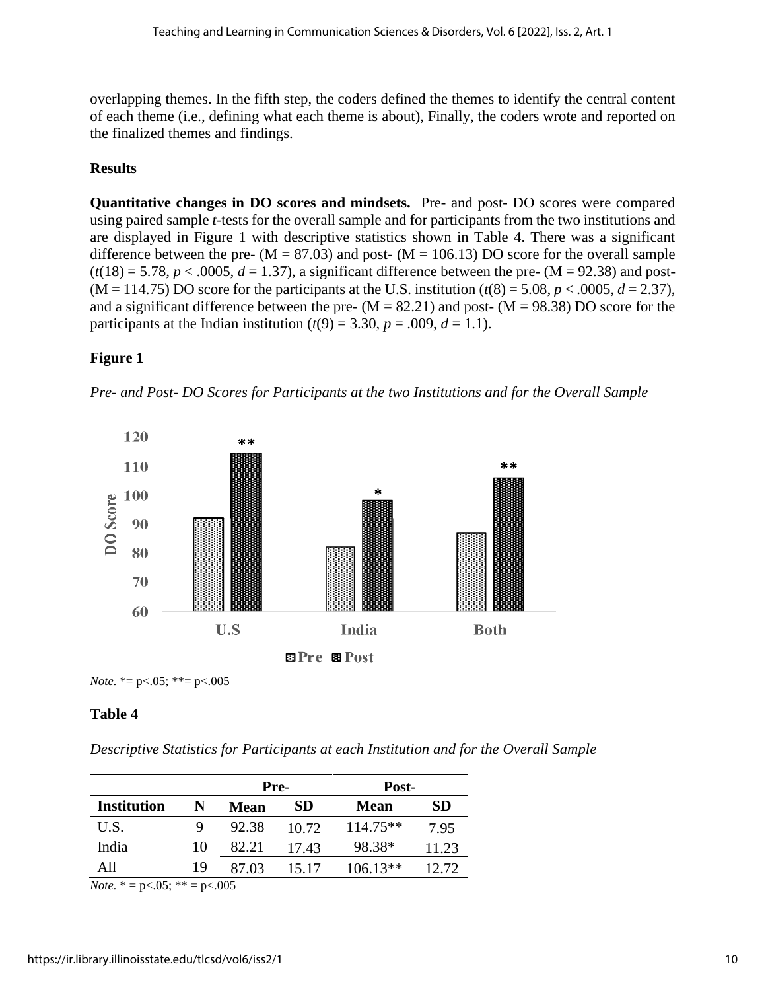overlapping themes. In the fifth step, the coders defined the themes to identify the central content of each theme (i.e., defining what each theme is about), Finally, the coders wrote and reported on the finalized themes and findings.

# **Results**

**Quantitative changes in DO scores and mindsets.** Pre- and post- DO scores were compared using paired sample *t*-tests for the overall sample and for participants from the two institutions and are displayed in Figure 1 with descriptive statistics shown in Table 4. There was a significant difference between the pre-  $(M = 87.03)$  and post-  $(M = 106.13)$  DO score for the overall sample  $(t(18) = 5.78, p < .0005, d = 1.37)$ , a significant difference between the pre-  $(M = 92.38)$  and post- $(M = 114.75)$  DO score for the participants at the U.S. institution  $(t(8) = 5.08, p < .0005, d = 2.37)$ , and a significant difference between the pre-  $(M = 82.21)$  and post-  $(M = 98.38)$  DO score for the participants at the Indian institution  $(t(9) = 3.30, p = .009, d = 1.1)$ .

# **Figure 1**





*Note.* \*= p<.05; \*\*= p<.005

# **Table 4**

*Descriptive Statistics for Participants at each Institution and for the Overall Sample*

|                    |    | Pre-        |       | Post-       |       |
|--------------------|----|-------------|-------|-------------|-------|
| <b>Institution</b> | N  | <b>Mean</b> | SD    | <b>Mean</b> | SD    |
| U.S.               |    | 92.38       | 10.72 | $114.75**$  | 7.95  |
| India              | 10 | 82.21       | 17.43 | 98.38*      | 11.23 |
| A11                | 19 | 87.03       | 15.17 | $106.13**$  | 12.72 |

*Note.* \* = p<.05; \*\* = p<.005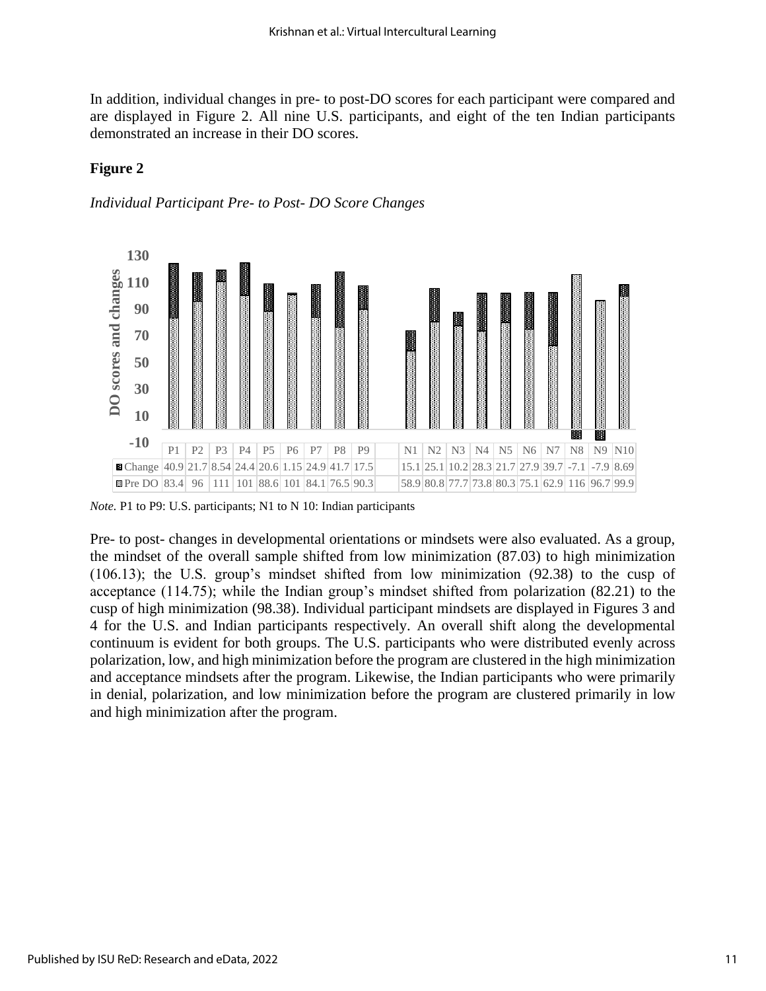In addition, individual changes in pre- to post-DO scores for each participant were compared and are displayed in Figure 2. All nine U.S. participants, and eight of the ten Indian participants demonstrated an increase in their DO scores.

## **Figure 2**





*Note.* P1 to P9: U.S. participants; N1 to N 10: Indian participants

Pre- to post- changes in developmental orientations or mindsets were also evaluated. As a group, the mindset of the overall sample shifted from low minimization (87.03) to high minimization (106.13); the U.S. group's mindset shifted from low minimization (92.38) to the cusp of acceptance (114.75); while the Indian group's mindset shifted from polarization (82.21) to the cusp of high minimization (98.38). Individual participant mindsets are displayed in Figures 3 and 4 for the U.S. and Indian participants respectively. An overall shift along the developmental continuum is evident for both groups. The U.S. participants who were distributed evenly across polarization, low, and high minimization before the program are clustered in the high minimization and acceptance mindsets after the program. Likewise, the Indian participants who were primarily in denial, polarization, and low minimization before the program are clustered primarily in low and high minimization after the program.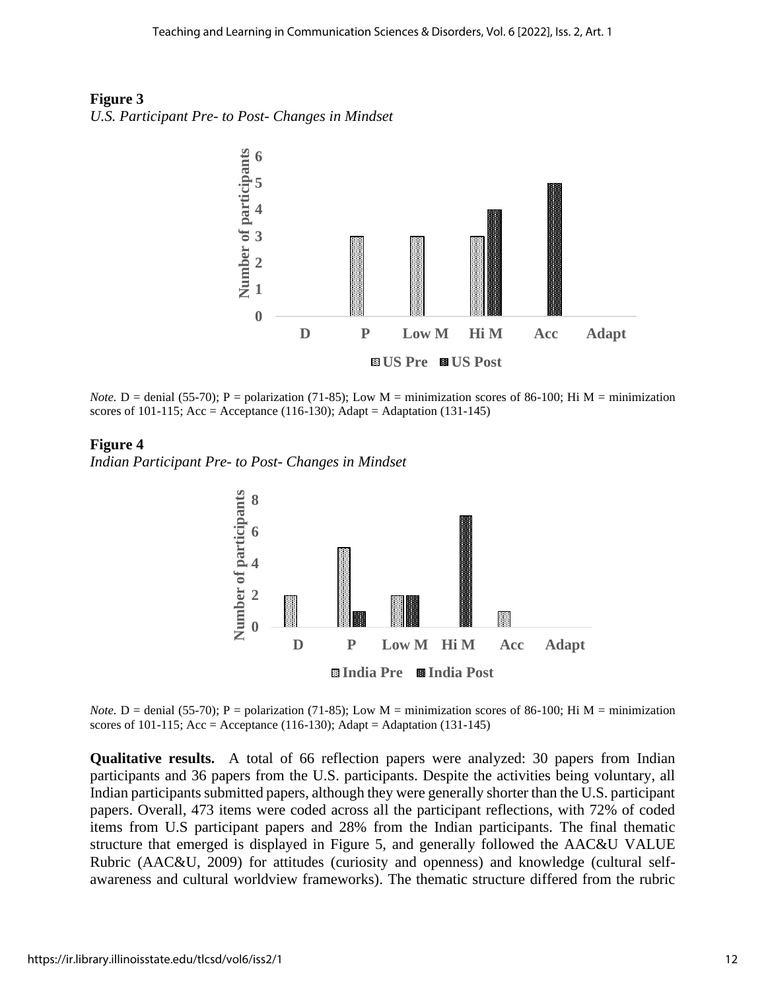



*Note.*  $D =$  denial (55-70); P = polarization (71-85); Low M = minimization scores of 86-100; Hi M = minimization scores of 101-115; Acc = Acceptance (116-130); Adapt = Adaptation (131-145)

#### **Figure 4**

*Indian Participant Pre- to Post- Changes in Mindset*



*Note.*  $D =$  denial (55-70); P = polarization (71-85); Low M = minimization scores of 86-100; Hi M = minimization scores of 101-115;  $Acc = Acceptance (116-130)$ ;  $Adapt = Adaptation (131-145)$ 

**Qualitative results.** A total of 66 reflection papers were analyzed: 30 papers from Indian participants and 36 papers from the U.S. participants. Despite the activities being voluntary, all Indian participants submitted papers, although they were generally shorter than the U.S. participant papers. Overall, 473 items were coded across all the participant reflections, with 72% of coded items from U.S participant papers and 28% from the Indian participants. The final thematic structure that emerged is displayed in Figure 5, and generally followed the AAC&U VALUE Rubric (AAC&U, 2009) for attitudes (curiosity and openness) and knowledge (cultural selfawareness and cultural worldview frameworks). The thematic structure differed from the rubric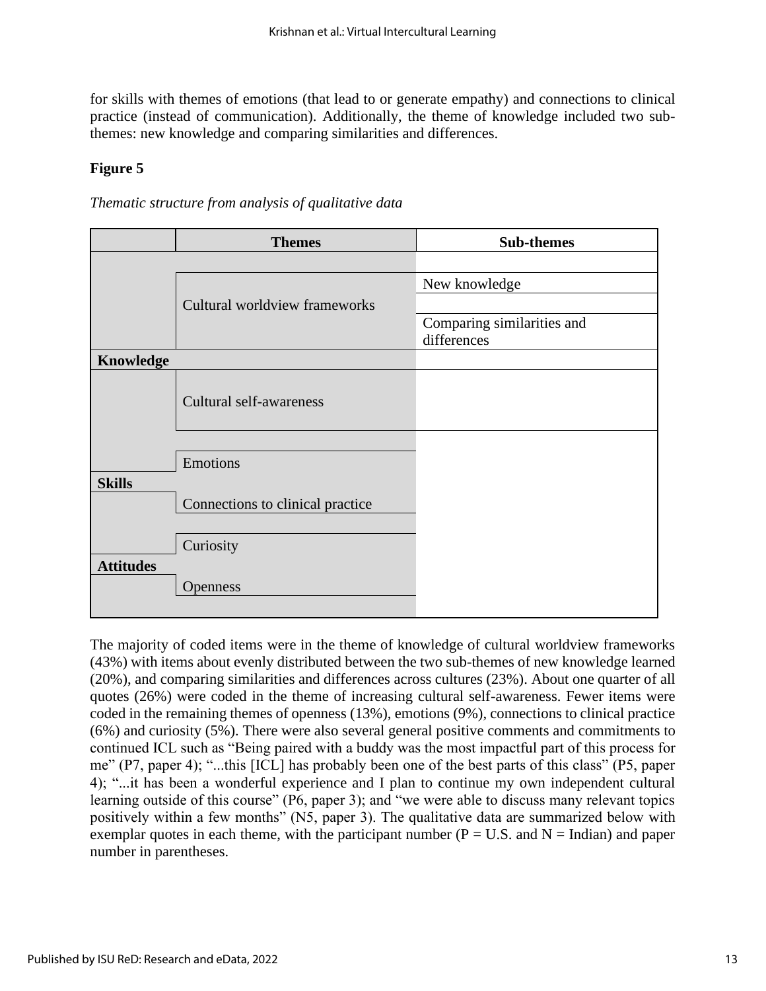for skills with themes of emotions (that lead to or generate empathy) and connections to clinical practice (instead of communication). Additionally, the theme of knowledge included two subthemes: new knowledge and comparing similarities and differences.

## **Figure 5**

*Thematic structure from analysis of qualitative data*

|                  | <b>Themes</b>                    | <b>Sub-themes</b>                         |
|------------------|----------------------------------|-------------------------------------------|
|                  |                                  |                                           |
|                  |                                  | New knowledge                             |
|                  | Cultural worldview frameworks    |                                           |
|                  |                                  | Comparing similarities and<br>differences |
| <b>Knowledge</b> |                                  |                                           |
|                  | Cultural self-awareness          |                                           |
|                  | Emotions                         |                                           |
| <b>Skills</b>    |                                  |                                           |
|                  | Connections to clinical practice |                                           |
|                  | Curiosity                        |                                           |
| <b>Attitudes</b> | <b>Openness</b>                  |                                           |

The majority of coded items were in the theme of knowledge of cultural worldview frameworks (43%) with items about evenly distributed between the two sub-themes of new knowledge learned (20%), and comparing similarities and differences across cultures (23%). About one quarter of all quotes (26%) were coded in the theme of increasing cultural self-awareness. Fewer items were coded in the remaining themes of openness (13%), emotions (9%), connections to clinical practice (6%) and curiosity (5%). There were also several general positive comments and commitments to continued ICL such as "Being paired with a buddy was the most impactful part of this process for me" (P7, paper 4); "...this [ICL] has probably been one of the best parts of this class" (P5, paper 4); "...it has been a wonderful experience and I plan to continue my own independent cultural learning outside of this course" (P6, paper 3); and "we were able to discuss many relevant topics positively within a few months" (N5, paper 3). The qualitative data are summarized below with exemplar quotes in each theme, with the participant number ( $P = U.S.$  and  $N = Indian$ ) and paper number in parentheses.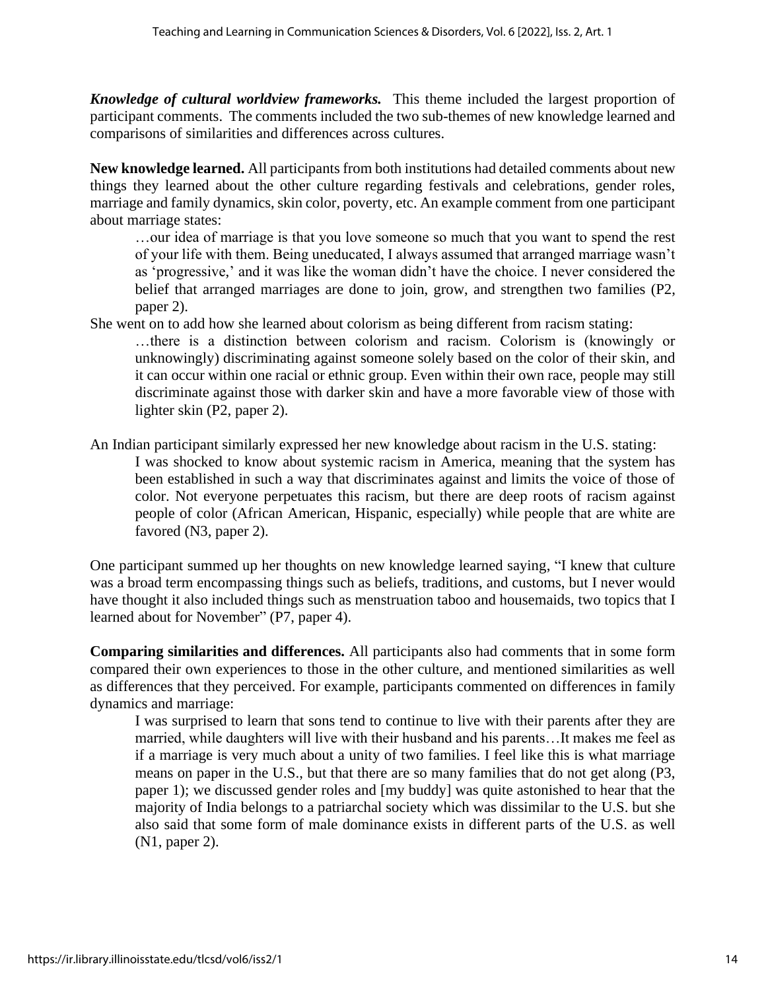*Knowledge of cultural worldview frameworks.* This theme included the largest proportion of participant comments. The comments included the two sub-themes of new knowledge learned and comparisons of similarities and differences across cultures.

**New knowledge learned.** All participants from both institutions had detailed comments about new things they learned about the other culture regarding festivals and celebrations, gender roles, marriage and family dynamics, skin color, poverty, etc. An example comment from one participant about marriage states:

…our idea of marriage is that you love someone so much that you want to spend the rest of your life with them. Being uneducated, I always assumed that arranged marriage wasn't as 'progressive,' and it was like the woman didn't have the choice. I never considered the belief that arranged marriages are done to join, grow, and strengthen two families (P2, paper 2).

She went on to add how she learned about colorism as being different from racism stating:

…there is a distinction between colorism and racism. Colorism is (knowingly or unknowingly) discriminating against someone solely based on the color of their skin, and it can occur within one racial or ethnic group. Even within their own race, people may still discriminate against those with darker skin and have a more favorable view of those with lighter skin (P2, paper 2).

An Indian participant similarly expressed her new knowledge about racism in the U.S. stating:

I was shocked to know about systemic racism in America, meaning that the system has been established in such a way that discriminates against and limits the voice of those of color. Not everyone perpetuates this racism, but there are deep roots of racism against people of color (African American, Hispanic, especially) while people that are white are favored (N3, paper 2).

One participant summed up her thoughts on new knowledge learned saying, "I knew that culture was a broad term encompassing things such as beliefs, traditions, and customs, but I never would have thought it also included things such as menstruation taboo and housemaids, two topics that I learned about for November" (P7, paper 4).

**Comparing similarities and differences.** All participants also had comments that in some form compared their own experiences to those in the other culture, and mentioned similarities as well as differences that they perceived. For example, participants commented on differences in family dynamics and marriage:

I was surprised to learn that sons tend to continue to live with their parents after they are married, while daughters will live with their husband and his parents…It makes me feel as if a marriage is very much about a unity of two families. I feel like this is what marriage means on paper in the U.S., but that there are so many families that do not get along (P3, paper 1); we discussed gender roles and [my buddy] was quite astonished to hear that the majority of India belongs to a patriarchal society which was dissimilar to the U.S. but she also said that some form of male dominance exists in different parts of the U.S. as well (N1, paper 2).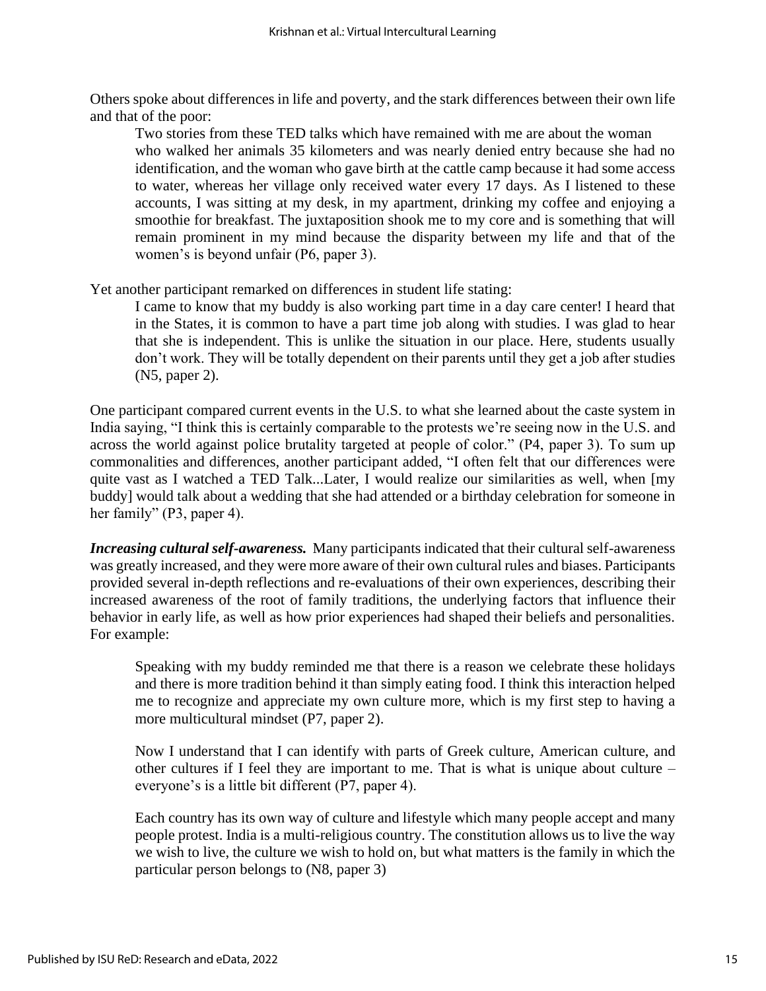Others spoke about differences in life and poverty, and the stark differences between their own life and that of the poor:

Two stories from these TED talks which have remained with me are about the woman who walked her animals 35 kilometers and was nearly denied entry because she had no identification, and the woman who gave birth at the cattle camp because it had some access to water, whereas her village only received water every 17 days. As I listened to these accounts, I was sitting at my desk, in my apartment, drinking my coffee and enjoying a smoothie for breakfast. The juxtaposition shook me to my core and is something that will remain prominent in my mind because the disparity between my life and that of the women's is beyond unfair (P6, paper 3).

Yet another participant remarked on differences in student life stating:

I came to know that my buddy is also working part time in a day care center! I heard that in the States, it is common to have a part time job along with studies. I was glad to hear that she is independent. This is unlike the situation in our place. Here, students usually don't work. They will be totally dependent on their parents until they get a job after studies (N5, paper 2).

One participant compared current events in the U.S. to what she learned about the caste system in India saying, "I think this is certainly comparable to the protests we're seeing now in the U.S. and across the world against police brutality targeted at people of color." (P4, paper 3). To sum up commonalities and differences, another participant added, "I often felt that our differences were quite vast as I watched a TED Talk...Later, I would realize our similarities as well, when [my buddy] would talk about a wedding that she had attended or a birthday celebration for someone in her family" (P3, paper 4).

*Increasing cultural self-awareness.* Many participants indicated that their cultural self-awareness was greatly increased, and they were more aware of their own cultural rules and biases. Participants provided several in-depth reflections and re-evaluations of their own experiences, describing their increased awareness of the root of family traditions, the underlying factors that influence their behavior in early life, as well as how prior experiences had shaped their beliefs and personalities. For example:

Speaking with my buddy reminded me that there is a reason we celebrate these holidays and there is more tradition behind it than simply eating food. I think this interaction helped me to recognize and appreciate my own culture more, which is my first step to having a more multicultural mindset (P7, paper 2).

Now I understand that I can identify with parts of Greek culture, American culture, and other cultures if I feel they are important to me. That is what is unique about culture – everyone's is a little bit different (P7, paper 4).

Each country has its own way of culture and lifestyle which many people accept and many people protest. India is a multi-religious country. The constitution allows us to live the way we wish to live, the culture we wish to hold on, but what matters is the family in which the particular person belongs to (N8, paper 3)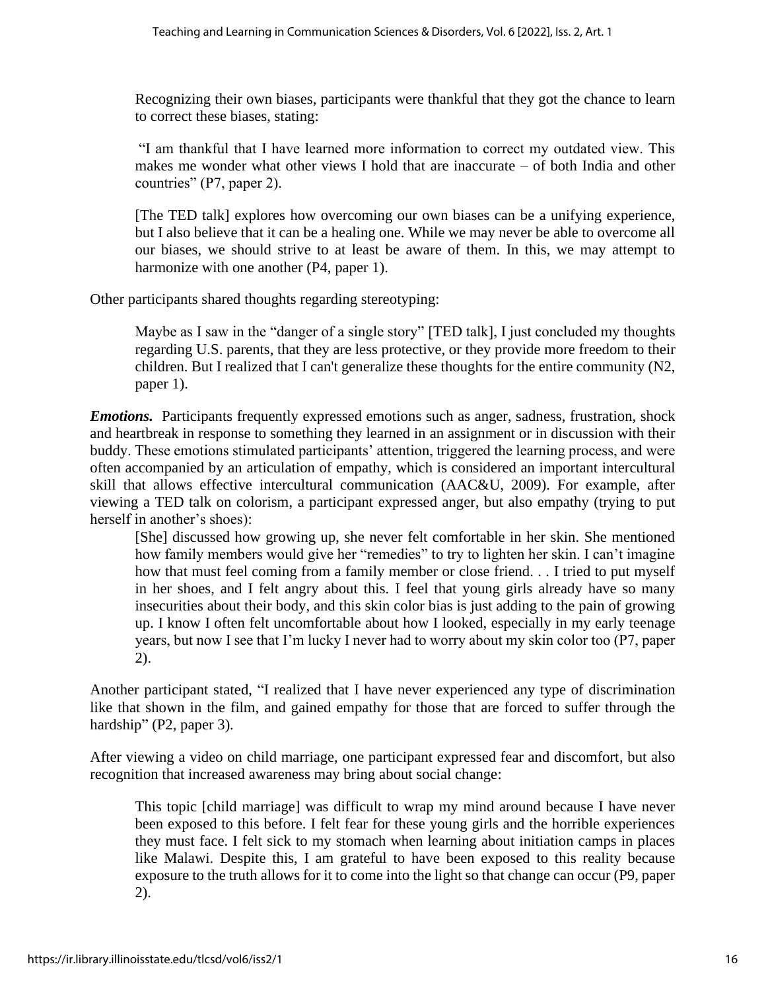Recognizing their own biases, participants were thankful that they got the chance to learn to correct these biases, stating:

"I am thankful that I have learned more information to correct my outdated view. This makes me wonder what other views I hold that are inaccurate – of both India and other countries" (P7, paper 2).

[The TED talk] explores how overcoming our own biases can be a unifying experience, but I also believe that it can be a healing one. While we may never be able to overcome all our biases, we should strive to at least be aware of them. In this, we may attempt to harmonize with one another (P4, paper 1).

Other participants shared thoughts regarding stereotyping:

Maybe as I saw in the "danger of a single story" [TED talk], I just concluded my thoughts regarding U.S. parents, that they are less protective, or they provide more freedom to their children. But I realized that I can't generalize these thoughts for the entire community (N2, paper 1).

*Emotions.* Participants frequently expressed emotions such as anger, sadness, frustration, shock and heartbreak in response to something they learned in an assignment or in discussion with their buddy. These emotions stimulated participants' attention, triggered the learning process, and were often accompanied by an articulation of empathy, which is considered an important intercultural skill that allows effective intercultural communication (AAC&U, 2009). For example, after viewing a TED talk on colorism, a participant expressed anger, but also empathy (trying to put herself in another's shoes):

[She] discussed how growing up, she never felt comfortable in her skin. She mentioned how family members would give her "remedies" to try to lighten her skin. I can't imagine how that must feel coming from a family member or close friend. . . I tried to put myself in her shoes, and I felt angry about this. I feel that young girls already have so many insecurities about their body, and this skin color bias is just adding to the pain of growing up. I know I often felt uncomfortable about how I looked, especially in my early teenage years, but now I see that I'm lucky I never had to worry about my skin color too (P7, paper 2).

Another participant stated, "I realized that I have never experienced any type of discrimination like that shown in the film, and gained empathy for those that are forced to suffer through the hardship" (P2, paper 3).

After viewing a video on child marriage, one participant expressed fear and discomfort, but also recognition that increased awareness may bring about social change:

This topic [child marriage] was difficult to wrap my mind around because I have never been exposed to this before. I felt fear for these young girls and the horrible experiences they must face. I felt sick to my stomach when learning about initiation camps in places like Malawi. Despite this, I am grateful to have been exposed to this reality because exposure to the truth allows for it to come into the light so that change can occur (P9, paper 2).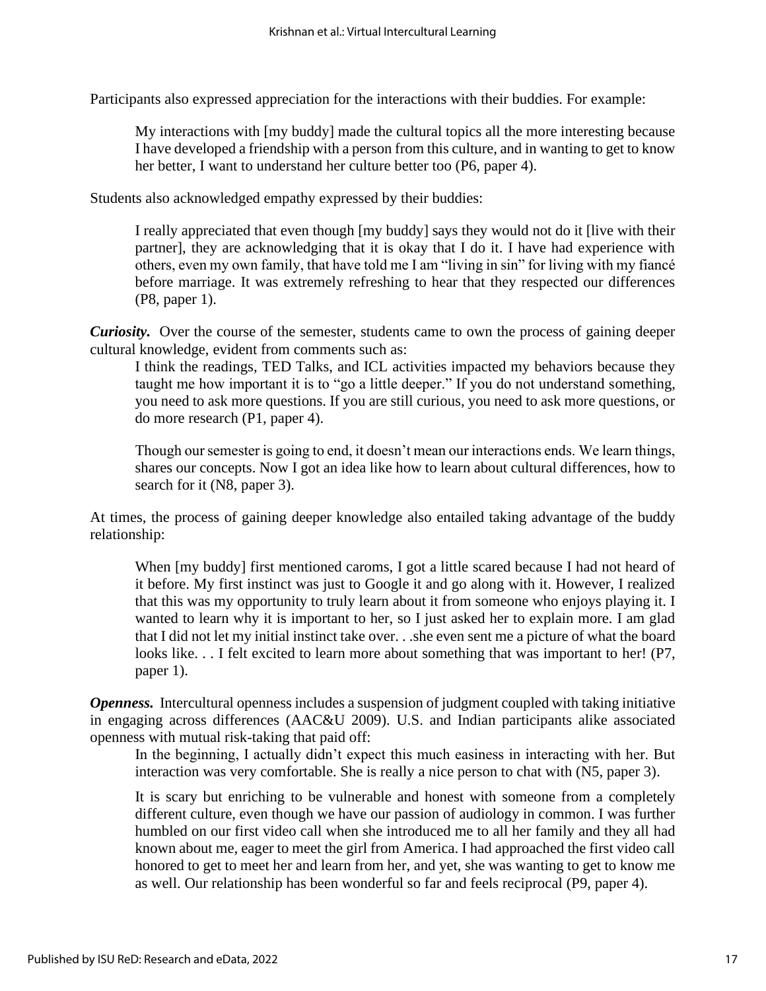Participants also expressed appreciation for the interactions with their buddies. For example:

My interactions with [my buddy] made the cultural topics all the more interesting because I have developed a friendship with a person from this culture, and in wanting to get to know her better, I want to understand her culture better too (P6, paper 4).

Students also acknowledged empathy expressed by their buddies:

I really appreciated that even though [my buddy] says they would not do it [live with their partner], they are acknowledging that it is okay that I do it. I have had experience with others, even my own family, that have told me I am "living in sin" for living with my fiancé before marriage. It was extremely refreshing to hear that they respected our differences (P8, paper 1).

*Curiosity.* Over the course of the semester, students came to own the process of gaining deeper cultural knowledge, evident from comments such as:

I think the readings, TED Talks, and ICL activities impacted my behaviors because they taught me how important it is to "go a little deeper." If you do not understand something, you need to ask more questions. If you are still curious, you need to ask more questions, or do more research (P1, paper 4).

Though our semester is going to end, it doesn't mean our interactions ends. We learn things, shares our concepts. Now I got an idea like how to learn about cultural differences, how to search for it (N8, paper 3).

At times, the process of gaining deeper knowledge also entailed taking advantage of the buddy relationship:

When [my buddy] first mentioned caroms, I got a little scared because I had not heard of it before. My first instinct was just to Google it and go along with it. However, I realized that this was my opportunity to truly learn about it from someone who enjoys playing it. I wanted to learn why it is important to her, so I just asked her to explain more. I am glad that I did not let my initial instinct take over. . .she even sent me a picture of what the board looks like... I felt excited to learn more about something that was important to her! (P7, paper 1).

*Openness.* Intercultural openness includes a suspension of judgment coupled with taking initiative in engaging across differences (AAC&U 2009). U.S. and Indian participants alike associated openness with mutual risk-taking that paid off:

In the beginning, I actually didn't expect this much easiness in interacting with her. But interaction was very comfortable. She is really a nice person to chat with (N5, paper 3).

It is scary but enriching to be vulnerable and honest with someone from a completely different culture, even though we have our passion of audiology in common. I was further humbled on our first video call when she introduced me to all her family and they all had known about me, eager to meet the girl from America. I had approached the first video call honored to get to meet her and learn from her, and yet, she was wanting to get to know me as well. Our relationship has been wonderful so far and feels reciprocal (P9, paper 4).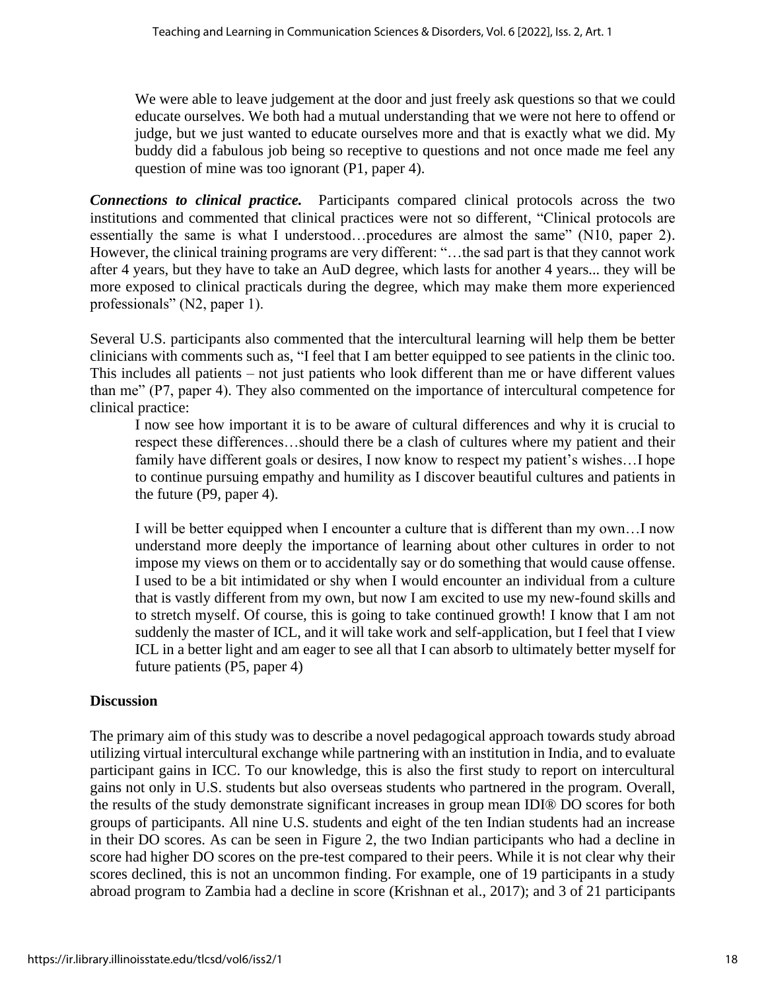We were able to leave judgement at the door and just freely ask questions so that we could educate ourselves. We both had a mutual understanding that we were not here to offend or judge, but we just wanted to educate ourselves more and that is exactly what we did. My buddy did a fabulous job being so receptive to questions and not once made me feel any question of mine was too ignorant (P1, paper 4).

*Connections to clinical practice.* Participants compared clinical protocols across the two institutions and commented that clinical practices were not so different, "Clinical protocols are essentially the same is what I understood…procedures are almost the same" (N10, paper 2). However, the clinical training programs are very different: "…the sad part is that they cannot work after 4 years, but they have to take an AuD degree, which lasts for another 4 years... they will be more exposed to clinical practicals during the degree, which may make them more experienced professionals" (N2, paper 1).

Several U.S. participants also commented that the intercultural learning will help them be better clinicians with comments such as, "I feel that I am better equipped to see patients in the clinic too. This includes all patients – not just patients who look different than me or have different values than me" (P7, paper 4). They also commented on the importance of intercultural competence for clinical practice:

I now see how important it is to be aware of cultural differences and why it is crucial to respect these differences…should there be a clash of cultures where my patient and their family have different goals or desires, I now know to respect my patient's wishes…I hope to continue pursuing empathy and humility as I discover beautiful cultures and patients in the future (P9, paper 4).

I will be better equipped when I encounter a culture that is different than my own…I now understand more deeply the importance of learning about other cultures in order to not impose my views on them or to accidentally say or do something that would cause offense. I used to be a bit intimidated or shy when I would encounter an individual from a culture that is vastly different from my own, but now I am excited to use my new-found skills and to stretch myself. Of course, this is going to take continued growth! I know that I am not suddenly the master of ICL, and it will take work and self-application, but I feel that I view ICL in a better light and am eager to see all that I can absorb to ultimately better myself for future patients (P5, paper 4)

## **Discussion**

The primary aim of this study was to describe a novel pedagogical approach towards study abroad utilizing virtual intercultural exchange while partnering with an institution in India, and to evaluate participant gains in ICC. To our knowledge, this is also the first study to report on intercultural gains not only in U.S. students but also overseas students who partnered in the program. Overall, the results of the study demonstrate significant increases in group mean IDI® DO scores for both groups of participants. All nine U.S. students and eight of the ten Indian students had an increase in their DO scores. As can be seen in Figure 2, the two Indian participants who had a decline in score had higher DO scores on the pre-test compared to their peers. While it is not clear why their scores declined, this is not an uncommon finding. For example, one of 19 participants in a study abroad program to Zambia had a decline in score (Krishnan et al., 2017); and 3 of 21 participants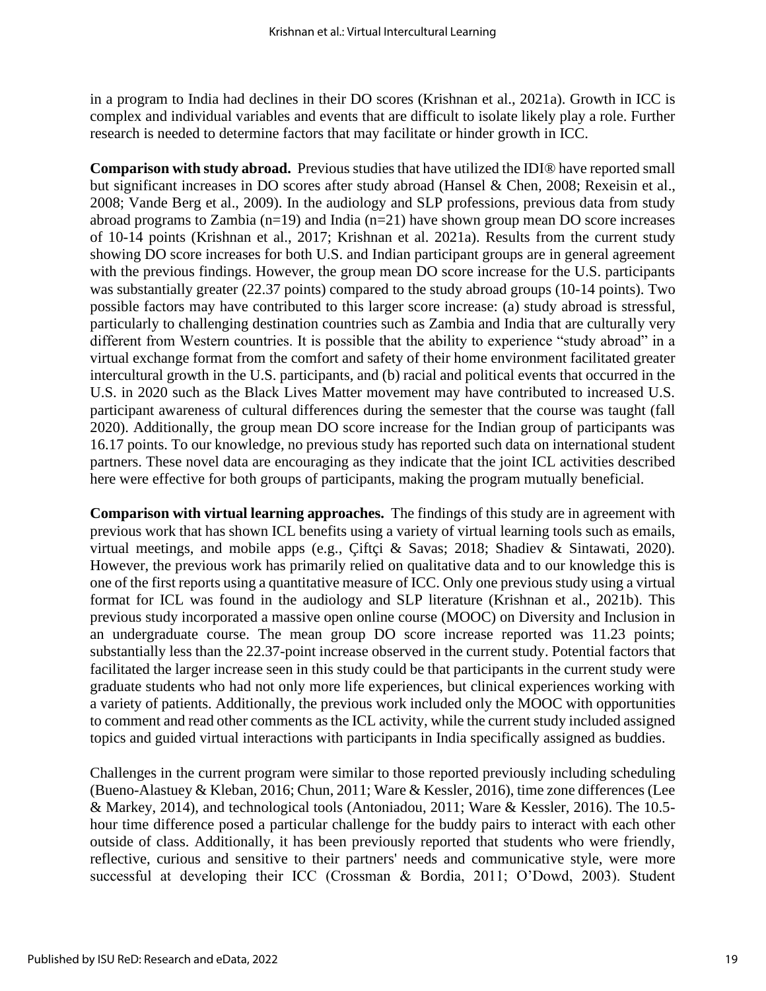in a program to India had declines in their DO scores (Krishnan et al., 2021a). Growth in ICC is complex and individual variables and events that are difficult to isolate likely play a role. Further research is needed to determine factors that may facilitate or hinder growth in ICC.

**Comparison with study abroad.** Previous studies that have utilized the IDI® have reported small but significant increases in DO scores after study abroad (Hansel & Chen, 2008; Rexeisin et al., 2008; Vande Berg et al., 2009). In the audiology and SLP professions, previous data from study abroad programs to Zambia (n=19) and India (n=21) have shown group mean DO score increases of 10-14 points (Krishnan et al., 2017; Krishnan et al. 2021a). Results from the current study showing DO score increases for both U.S. and Indian participant groups are in general agreement with the previous findings. However, the group mean DO score increase for the U.S. participants was substantially greater (22.37 points) compared to the study abroad groups (10-14 points). Two possible factors may have contributed to this larger score increase: (a) study abroad is stressful, particularly to challenging destination countries such as Zambia and India that are culturally very different from Western countries. It is possible that the ability to experience "study abroad" in a virtual exchange format from the comfort and safety of their home environment facilitated greater intercultural growth in the U.S. participants, and (b) racial and political events that occurred in the U.S. in 2020 such as the Black Lives Matter movement may have contributed to increased U.S. participant awareness of cultural differences during the semester that the course was taught (fall 2020). Additionally, the group mean DO score increase for the Indian group of participants was 16.17 points. To our knowledge, no previous study has reported such data on international student partners. These novel data are encouraging as they indicate that the joint ICL activities described here were effective for both groups of participants, making the program mutually beneficial.

**Comparison with virtual learning approaches.** The findings of this study are in agreement with previous work that has shown ICL benefits using a variety of virtual learning tools such as emails, virtual meetings, and mobile apps (e.g., Çiftçi & Savas; 2018; Shadiev & Sintawati, 2020). However, the previous work has primarily relied on qualitative data and to our knowledge this is one of the first reports using a quantitative measure of ICC. Only one previous study using a virtual format for ICL was found in the audiology and SLP literature (Krishnan et al., 2021b). This previous study incorporated a massive open online course (MOOC) on Diversity and Inclusion in an undergraduate course. The mean group DO score increase reported was 11.23 points; substantially less than the 22.37-point increase observed in the current study. Potential factors that facilitated the larger increase seen in this study could be that participants in the current study were graduate students who had not only more life experiences, but clinical experiences working with a variety of patients. Additionally, the previous work included only the MOOC with opportunities to comment and read other comments as the ICL activity, while the current study included assigned topics and guided virtual interactions with participants in India specifically assigned as buddies.

Challenges in the current program were similar to those reported previously including scheduling (Bueno-Alastuey & Kleban, 2016; Chun, 2011; Ware & Kessler, 2016), time zone differences (Lee & Markey, 2014), and technological tools (Antoniadou, 2011; Ware & Kessler, 2016). The 10.5 hour time difference posed a particular challenge for the buddy pairs to interact with each other outside of class. Additionally, it has been previously reported that students who were friendly, reflective, curious and sensitive to their partners' needs and communicative style, were more successful at developing their ICC (Crossman & Bordia, 2011; O'Dowd, 2003). Student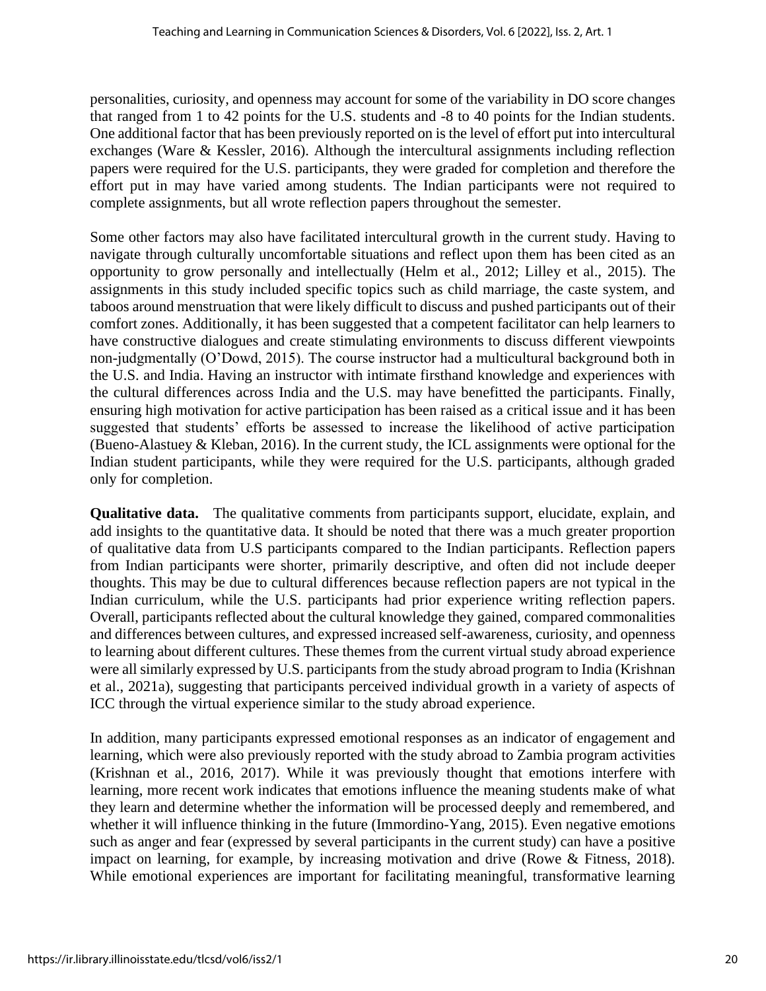personalities, curiosity, and openness may account for some of the variability in DO score changes that ranged from 1 to 42 points for the U.S. students and -8 to 40 points for the Indian students. One additional factor that has been previously reported on is the level of effort put into intercultural exchanges (Ware & Kessler, 2016). Although the intercultural assignments including reflection papers were required for the U.S. participants, they were graded for completion and therefore the effort put in may have varied among students. The Indian participants were not required to complete assignments, but all wrote reflection papers throughout the semester.

Some other factors may also have facilitated intercultural growth in the current study. Having to navigate through culturally uncomfortable situations and reflect upon them has been cited as an opportunity to grow personally and intellectually (Helm et al., 2012; Lilley et al., 2015). The assignments in this study included specific topics such as child marriage, the caste system, and taboos around menstruation that were likely difficult to discuss and pushed participants out of their comfort zones. Additionally, it has been suggested that a competent facilitator can help learners to have constructive dialogues and create stimulating environments to discuss different viewpoints non-judgmentally (O'Dowd, 2015). The course instructor had a multicultural background both in the U.S. and India. Having an instructor with intimate firsthand knowledge and experiences with the cultural differences across India and the U.S. may have benefitted the participants. Finally, ensuring high motivation for active participation has been raised as a critical issue and it has been suggested that students' efforts be assessed to increase the likelihood of active participation (Bueno-Alastuey & Kleban, 2016). In the current study, the ICL assignments were optional for the Indian student participants, while they were required for the U.S. participants, although graded only for completion.

**Qualitative data.** The qualitative comments from participants support, elucidate, explain, and add insights to the quantitative data. It should be noted that there was a much greater proportion of qualitative data from U.S participants compared to the Indian participants. Reflection papers from Indian participants were shorter, primarily descriptive, and often did not include deeper thoughts. This may be due to cultural differences because reflection papers are not typical in the Indian curriculum, while the U.S. participants had prior experience writing reflection papers. Overall, participants reflected about the cultural knowledge they gained, compared commonalities and differences between cultures, and expressed increased self-awareness, curiosity, and openness to learning about different cultures. These themes from the current virtual study abroad experience were all similarly expressed by U.S. participants from the study abroad program to India (Krishnan et al., 2021a), suggesting that participants perceived individual growth in a variety of aspects of ICC through the virtual experience similar to the study abroad experience.

In addition, many participants expressed emotional responses as an indicator of engagement and learning, which were also previously reported with the study abroad to Zambia program activities (Krishnan et al., 2016, 2017). While it was previously thought that emotions interfere with learning, more recent work indicates that emotions influence the meaning students make of what they learn and determine whether the information will be processed deeply and remembered, and whether it will influence thinking in the future (Immordino-Yang, 2015). Even negative emotions such as anger and fear (expressed by several participants in the current study) can have a positive impact on learning, for example, by increasing motivation and drive (Rowe & Fitness, 2018). While emotional experiences are important for facilitating meaningful, transformative learning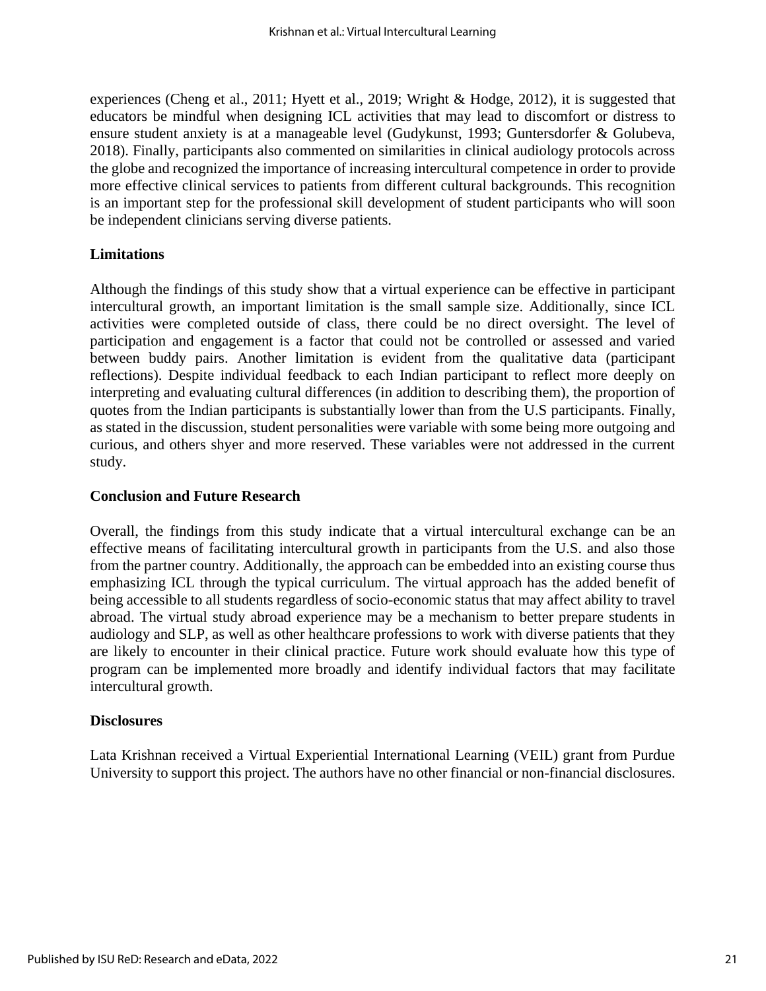experiences (Cheng et al., 2011; Hyett et al., 2019; Wright & Hodge, 2012), it is suggested that educators be mindful when designing ICL activities that may lead to discomfort or distress to ensure student anxiety is at a manageable level (Gudykunst, 1993; Guntersdorfer & Golubeva, 2018). Finally, participants also commented on similarities in clinical audiology protocols across the globe and recognized the importance of increasing intercultural competence in order to provide more effective clinical services to patients from different cultural backgrounds. This recognition is an important step for the professional skill development of student participants who will soon be independent clinicians serving diverse patients.

## **Limitations**

Although the findings of this study show that a virtual experience can be effective in participant intercultural growth, an important limitation is the small sample size. Additionally, since ICL activities were completed outside of class, there could be no direct oversight. The level of participation and engagement is a factor that could not be controlled or assessed and varied between buddy pairs. Another limitation is evident from the qualitative data (participant reflections). Despite individual feedback to each Indian participant to reflect more deeply on interpreting and evaluating cultural differences (in addition to describing them), the proportion of quotes from the Indian participants is substantially lower than from the U.S participants. Finally, as stated in the discussion, student personalities were variable with some being more outgoing and curious, and others shyer and more reserved. These variables were not addressed in the current study.

#### **Conclusion and Future Research**

Overall, the findings from this study indicate that a virtual intercultural exchange can be an effective means of facilitating intercultural growth in participants from the U.S. and also those from the partner country. Additionally, the approach can be embedded into an existing course thus emphasizing ICL through the typical curriculum. The virtual approach has the added benefit of being accessible to all students regardless of socio-economic status that may affect ability to travel abroad. The virtual study abroad experience may be a mechanism to better prepare students in audiology and SLP, as well as other healthcare professions to work with diverse patients that they are likely to encounter in their clinical practice. Future work should evaluate how this type of program can be implemented more broadly and identify individual factors that may facilitate intercultural growth.

#### **Disclosures**

Lata Krishnan received a Virtual Experiential International Learning (VEIL) grant from Purdue University to support this project. The authors have no other financial or non-financial disclosures.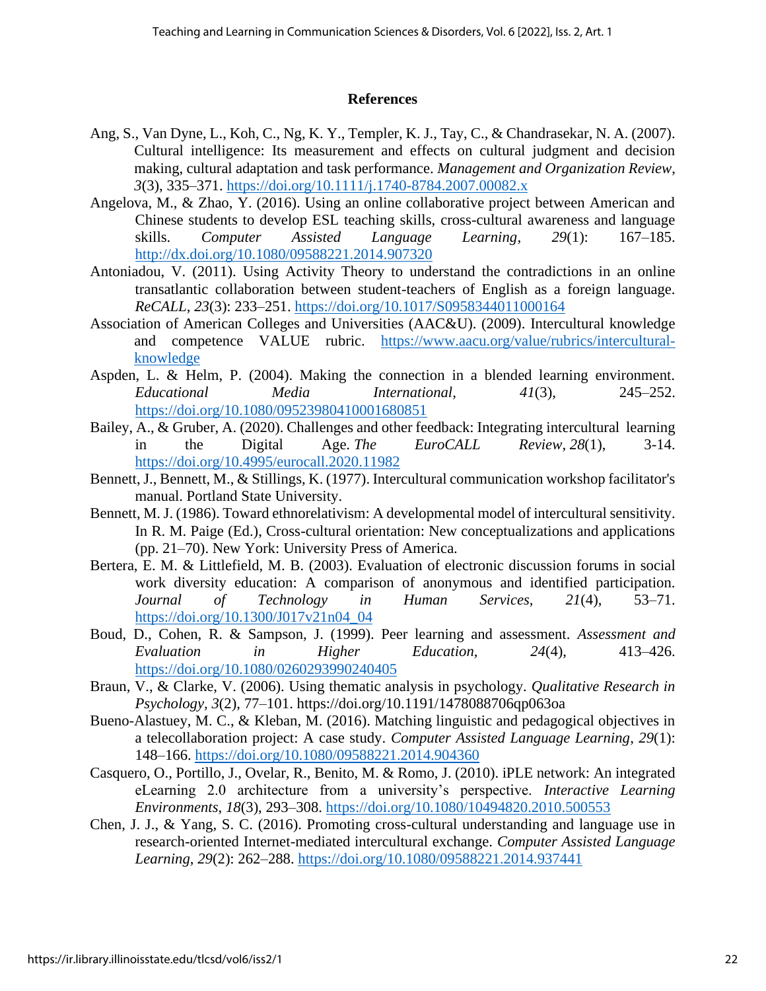#### **References**

- Ang, S., Van Dyne, L., Koh, C., Ng, K. Y., Templer, K. J., Tay, C., & Chandrasekar, N. A. (2007). Cultural intelligence: Its measurement and effects on cultural judgment and decision making, cultural adaptation and task performance. *Management and Organization Review*, *3*(3), 335–371.<https://doi.org/10.1111/j.1740-8784.2007.00082.x>
- Angelova, M., & Zhao, Y. (2016). Using an online collaborative project between American and Chinese students to develop ESL teaching skills, cross-cultural awareness and language skills. *Computer Assisted Language Learning*, *29*(1): 167–185. <http://dx.doi.org/10.1080/09588221.2014.907320>
- Antoniadou, V. (2011). Using Activity Theory to understand the contradictions in an online transatlantic collaboration between student-teachers of English as a foreign language. *ReCALL*, *23*(3): 233–251.<https://doi.org/10.1017/S0958344011000164>
- Association of American Colleges and Universities (AAC&U). (2009). Intercultural knowledge and competence VALUE rubric. [https://www.aacu.org/value/rubrics/intercultural](https://www.aacu.org/value/rubrics/intercultural-knowledge)[knowledge](https://www.aacu.org/value/rubrics/intercultural-knowledge)
- Aspden, L. & Helm, P. (2004). Making the connection in a blended learning environment. *Educational Media International, 41*(3), 245–252. <https://doi.org/10.1080/09523980410001680851>
- Bailey, A., & Gruber, A. (2020). Challenges and other feedback: Integrating intercultural learning in the Digital Age. *The EuroCALL Review*, *28*(1), 3-14. <https://doi.org/10.4995/eurocall.2020.11982>
- Bennett, J., Bennett, M., & Stillings, K. (1977). Intercultural communication workshop facilitator's manual. Portland State University.
- Bennett, M. J. (1986). Toward ethnorelativism: A developmental model of intercultural sensitivity. In R. M. Paige (Ed.), Cross-cultural orientation: New conceptualizations and applications (pp. 21–70). New York: University Press of America.
- Bertera, E. M. & Littlefield, M. B. (2003). Evaluation of electronic discussion forums in social work diversity education: A comparison of anonymous and identified participation. *Journal of Technology in Human Services, 21*(4), 53–71. [https://doi.org/10.1300/J017v21n04\\_04](https://doi.org/10.1300/J017v21n04_04)
- Boud, D., Cohen, R. & Sampson, J. (1999). Peer learning and assessment. *Assessment and Evaluation in Higher Education, 24*(4), 413–426. <https://doi.org/10.1080/0260293990240405>
- Braun, V., & Clarke, V. (2006). Using thematic analysis in psychology. *Qualitative Research in Psychology, 3*(2), 77–101. <https://doi.org/10.1191/1478088706qp063oa>
- Bueno-Alastuey, M. C., & Kleban, M. (2016). Matching linguistic and pedagogical objectives in a telecollaboration project: A case study. *Computer Assisted Language Learning*, *29*(1): 148–166.<https://doi.org/10.1080/09588221.2014.904360>
- Casquero, O., Portillo, J., Ovelar, R., Benito, M. & Romo, J. (2010). iPLE network: An integrated eLearning 2.0 architecture from a university's perspective. *Interactive Learning Environments*, *18*(3), 293–308.<https://doi.org/10.1080/10494820.2010.500553>
- Chen, J. J., & Yang, S. C. (2016). Promoting cross-cultural understanding and language use in research-oriented Internet-mediated intercultural exchange. *Computer Assisted Language Learning*, *29*(2): 262–288.<https://doi.org/10.1080/09588221.2014.937441>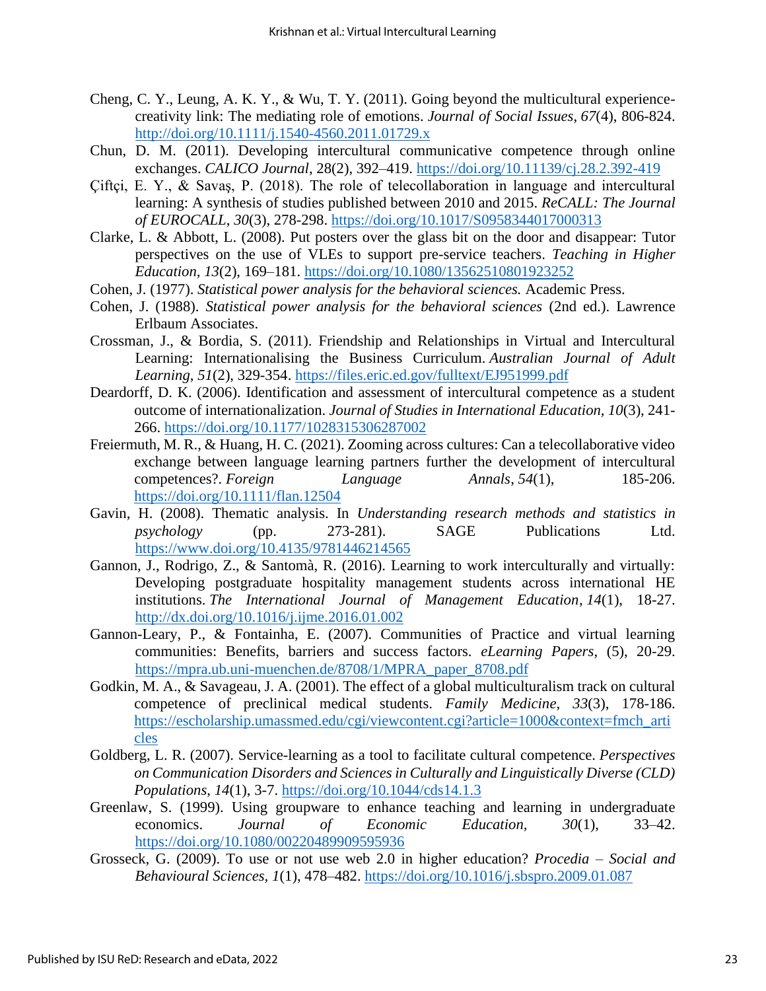- Cheng, C. Y., Leung, A. K. Y., & Wu, T. Y. (2011). Going beyond the multicultural experiencecreativity link: The mediating role of emotions. *Journal of Social Issues*, *67*(4), 806-824. <http://doi.org/10.1111/j.1540-4560.2011.01729.x>
- Chun, D. M. (2011). Developing intercultural communicative competence through online exchanges. *CALICO Journal*, 28(2), 392–419.<https://doi.org/10.11139/cj.28.2.392-419>
- Çiftçi, E. Y., & Savaş, P. (2018). The role of telecollaboration in language and intercultural learning: A synthesis of studies published between 2010 and 2015. *ReCALL: The Journal of EUROCALL*, *30*(3), 278-298.<https://doi.org/10.1017/S0958344017000313>
- Clarke, L. & Abbott, L. (2008). Put posters over the glass bit on the door and disappear: Tutor perspectives on the use of VLEs to support pre-service teachers. *Teaching in Higher Education, 13*(2), 169–181.<https://doi.org/10.1080/13562510801923252>
- Cohen, J. (1977). *Statistical power analysis for the behavioral sciences.* Academic Press.
- Cohen, J. (1988). *Statistical power analysis for the behavioral sciences* (2nd ed.). Lawrence Erlbaum Associates.
- Crossman, J., & Bordia, S. (2011). Friendship and Relationships in Virtual and Intercultural Learning: Internationalising the Business Curriculum. *Australian Journal of Adult Learning*, *51*(2), 329-354. <https://files.eric.ed.gov/fulltext/EJ951999.pdf>
- Deardorff, D. K. (2006). Identification and assessment of intercultural competence as a student outcome of internationalization. *Journal of Studies in International Education, 10*(3), 241- 266.<https://doi.org/10.1177/1028315306287002>
- Freiermuth, M. R., & Huang, H. C. (2021). Zooming across cultures: Can a telecollaborative video exchange between language learning partners further the development of intercultural competences?. *Foreign Language Annals*, *54*(1), 185-206. <https://doi.org/10.1111/flan.12504>
- Gavin, H. (2008). Thematic analysis. In *Understanding research methods and statistics in psychology* (pp. 273-281). SAGE Publications Ltd. <https://www.doi.org/10.4135/9781446214565>
- Gannon, J., Rodrigo, Z., & Santomà, R. (2016). Learning to work interculturally and virtually: Developing postgraduate hospitality management students across international HE institutions. *The International Journal of Management Education*, *14*(1), 18-27. <http://dx.doi.org/10.1016/j.ijme.2016.01.002>
- Gannon-Leary, P., & Fontainha, E. (2007). Communities of Practice and virtual learning communities: Benefits, barriers and success factors. *eLearning Papers*, (5), 20-29. [https://mpra.ub.uni-muenchen.de/8708/1/MPRA\\_paper\\_8708.pdf](https://mpra.ub.uni-muenchen.de/8708/1/MPRA_paper_8708.pdf)
- Godkin, M. A., & Savageau, J. A. (2001). The effect of a global multiculturalism track on cultural competence of preclinical medical students. *Family Medicine*, *33*(3), 178-186. [https://escholarship.umassmed.edu/cgi/viewcontent.cgi?article=1000&context=fmch\\_arti](https://escholarship.umassmed.edu/cgi/viewcontent.cgi?article=1000&context=fmch_articles) [cles](https://escholarship.umassmed.edu/cgi/viewcontent.cgi?article=1000&context=fmch_articles)
- Goldberg, L. R. (2007). Service-learning as a tool to facilitate cultural competence. *Perspectives on Communication Disorders and Sciences in Culturally and Linguistically Diverse (CLD) Populations*, *14*(1), 3-7. <https://doi.org/10.1044/cds14.1.3>
- Greenlaw, S. (1999). Using groupware to enhance teaching and learning in undergraduate economics. *Journal of Economic Education, 30*(1), 33–42. <https://doi.org/10.1080/00220489909595936>
- Grosseck, G. (2009). To use or not use web 2.0 in higher education? *Procedia – Social and Behavioural Sciences, 1*(1), 478–482.<https://doi.org/10.1016/j.sbspro.2009.01.087>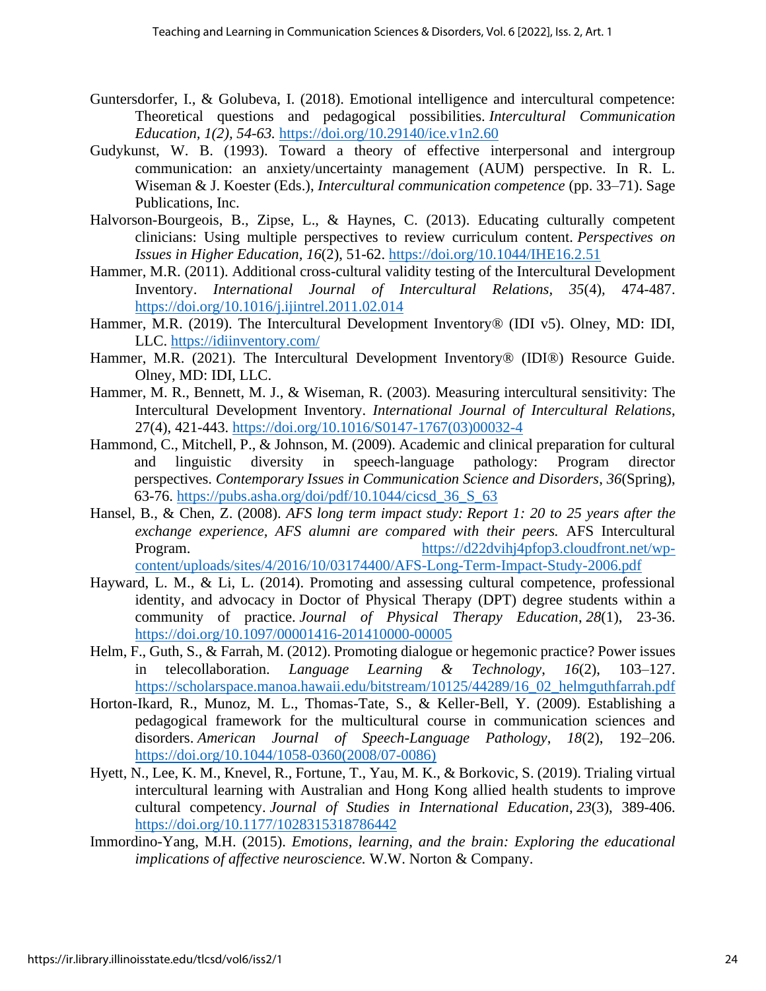- Guntersdorfer, I., & Golubeva, I. (2018). Emotional intelligence and intercultural competence: Theoretical questions and pedagogical possibilities. *Intercultural Communication Education, 1(2), 54-63.* <https://doi.org/10.29140/ice.v1n2.60>
- Gudykunst, W. B. (1993). Toward a theory of effective interpersonal and intergroup communication: an anxiety/uncertainty management (AUM) perspective. In R. L. Wiseman & J. Koester (Eds.), *Intercultural communication competence* (pp. 33–71). Sage Publications, Inc.
- Halvorson-Bourgeois, B., Zipse, L., & Haynes, C. (2013). Educating culturally competent clinicians: Using multiple perspectives to review curriculum content. *Perspectives on Issues in Higher Education, 16*(2), 51-62. <https://doi.org/10.1044/IHE16.2.51>
- Hammer, M.R. (2011). Additional cross-cultural validity testing of the Intercultural Development Inventory. *International Journal of Intercultural Relations, 35*(4)*,* 474-487. <https://doi.org/10.1016/j.ijintrel.2011.02.014>
- Hammer, M.R. (2019). The Intercultural Development Inventory® (IDI v5). Olney, MD: IDI, LLC. <https://idiinventory.com/>
- Hammer, M.R. (2021). The Intercultural Development Inventory<sup>®</sup> (IDI<sup>®</sup>) Resource Guide. Olney, MD: IDI, LLC.
- Hammer, M. R., Bennett, M. J., & Wiseman, R. (2003). Measuring intercultural sensitivity: The Intercultural Development Inventory. *International Journal of Intercultural Relations*, 27(4), 421-443. [https://doi.org/10.1016/S0147-1767\(03\)00032-4](https://doi.org/10.1016/S0147-1767(03)00032-4)
- Hammond, C., Mitchell, P., & Johnson, M. (2009). Academic and clinical preparation for cultural and linguistic diversity in speech-language pathology: Program director perspectives. *Contemporary Issues in Communication Science and Disorders*, *36*(Spring), 63-76. [https://pubs.asha.org/doi/pdf/10.1044/cicsd\\_36\\_S\\_63](https://pubs.asha.org/doi/pdf/10.1044/cicsd_36_S_63)
- Hansel, B., & Chen, Z. (2008). *AFS long term impact study: Report 1: 20 to 25 years after the exchange experience, AFS alumni are compared with their peers.* AFS Intercultural Program. [https://d22dvihj4pfop3.cloudfront.net/wp](https://d22dvihj4pfop3.cloudfront.net/wp-content/uploads/sites/4/2016/10/03174400/AFS-Long-Term-Impact-Study-2006.pdf)[content/uploads/sites/4/2016/10/03174400/AFS-Long-Term-Impact-Study-2006.pdf](https://d22dvihj4pfop3.cloudfront.net/wp-content/uploads/sites/4/2016/10/03174400/AFS-Long-Term-Impact-Study-2006.pdf)
- Hayward, L. M., & Li, L. (2014). Promoting and assessing cultural competence, professional identity, and advocacy in Doctor of Physical Therapy (DPT) degree students within a community of practice. *Journal of Physical Therapy Education*, *28*(1), 23-36. <https://doi.org/10.1097/00001416-201410000-00005>
- Helm, F., Guth, S., & Farrah, M. (2012). Promoting dialogue or hegemonic practice? Power issues in telecollaboration. *Language Learning & Technology*, *16*(2), 103–127. [https://scholarspace.manoa.hawaii.edu/bitstream/10125/44289/16\\_02\\_helmguthfarrah.pdf](https://scholarspace.manoa.hawaii.edu/bitstream/10125/44289/16_02_helmguthfarrah.pdf)
- Horton-Ikard, R., Munoz, M. L., Thomas-Tate, S., & Keller-Bell, Y. (2009). Establishing a pedagogical framework for the multicultural course in communication sciences and disorders. *American Journal of Speech-Language Pathology*, *18*(2), 192–206. [https://doi.org/10.1044/1058-0360\(2008/07-0086\)](https://doi.org/10.1044/1058-0360(2008/07-0086))
- Hyett, N., Lee, K. M., Knevel, R., Fortune, T., Yau, M. K., & Borkovic, S. (2019). Trialing virtual intercultural learning with Australian and Hong Kong allied health students to improve cultural competency. *Journal of Studies in International Education*, *23*(3), 389-406. <https://doi.org/10.1177/1028315318786442>
- Immordino-Yang, M.H. (2015). *Emotions, learning, and the brain: Exploring the educational implications of affective neuroscience.* W.W. Norton & Company.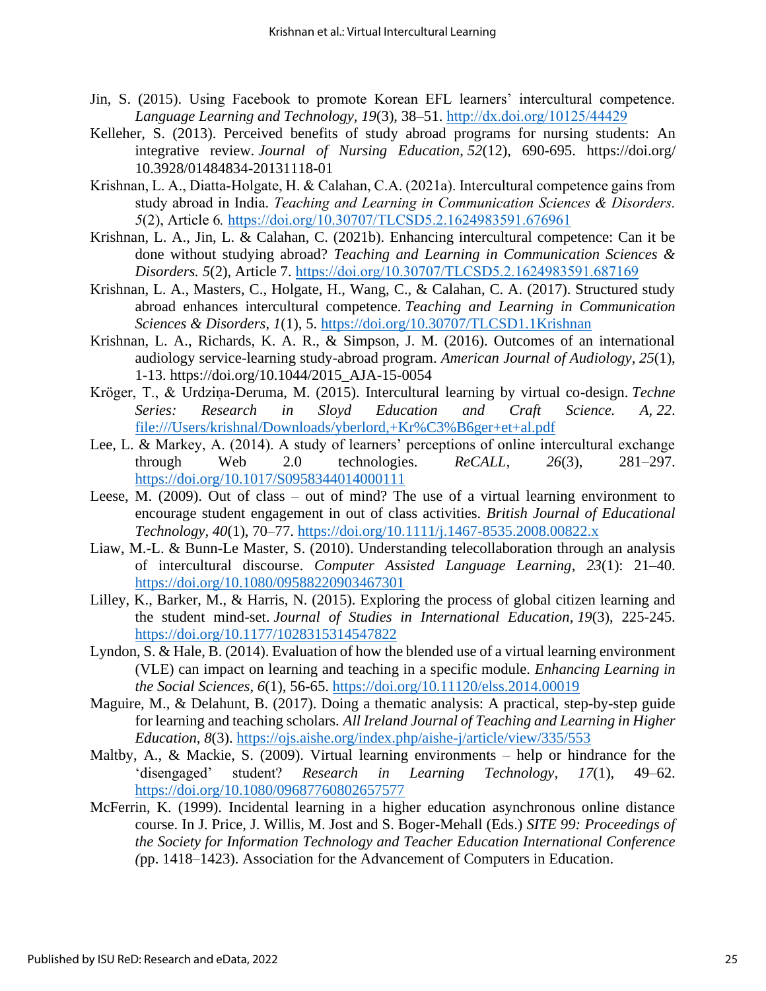- Jin, S. (2015). Using Facebook to promote Korean EFL learners' intercultural competence. *Language Learning and Technology, 19*(3), 38–51. <http://dx.doi.org/10125/44429>
- Kelleher, S. (2013). Perceived benefits of study abroad programs for nursing students: An integrative review. *Journal of Nursing Education*, *52*(12), 690-695. https://doi.org/ 10.3928/01484834-20131118-01
- Krishnan, L. A., Diatta-Holgate, H. & Calahan, C.A. (2021a). Intercultural competence gains from study abroad in India. *Teaching and Learning in Communication Sciences & Disorders. 5*(2), Article 6*.* <https://doi.org/10.30707/TLCSD5.2.1624983591.676961>
- Krishnan, L. A., Jin, L. & Calahan, C. (2021b). Enhancing intercultural competence: Can it be done without studying abroad? *Teaching and Learning in Communication Sciences & Disorders. 5*(2), Article 7. <https://doi.org/10.30707/TLCSD5.2.1624983591.687169>
- Krishnan, L. A., Masters, C., Holgate, H., Wang, C., & Calahan, C. A. (2017). Structured study abroad enhances intercultural competence. *Teaching and Learning in Communication Sciences & Disorders*, *1*(1), 5.<https://doi.org/10.30707/TLCSD1.1Krishnan>
- Krishnan, L. A., Richards, K. A. R., & Simpson, J. M. (2016). Outcomes of an international audiology service-learning study-abroad program. *American Journal of Audiology*, *25*(1), 1-13. [https://doi.org/10.1044/2015\\_AJA-15-0054](https://doi.org/10.1044/2015_AJA-15-0054)
- Kröger, T., & Urdziņa-Deruma, M. (2015). Intercultural learning by virtual co-design. *Techne Series: Research in Sloyd Education and Craft Science. A, 22*. [file:///Users/krishnal/Downloads/yberlord,+Kr%C3%B6ger+et+al.pdf](/Users/krishnal/Downloads/yberlord,+KrÃ¶ger+et+al.pdf)
- Lee, L. & Markey, A. (2014). A study of learners' perceptions of online intercultural exchange through Web 2.0 technologies. *ReCALL, 26*(3), 281–297. <https://doi.org/10.1017/S0958344014000111>
- Leese, M. (2009). Out of class out of mind? The use of a virtual learning environment to encourage student engagement in out of class activities. *British Journal of Educational Technology, 40*(1), 70–77.<https://doi.org/10.1111/j.1467-8535.2008.00822.x>
- Liaw, M.-L. & Bunn-Le Master, S. (2010). Understanding telecollaboration through an analysis of intercultural discourse. *Computer Assisted Language Learning*, *23*(1): 21–40. <https://doi.org/10.1080/09588220903467301>
- Lilley, K., Barker, M., & Harris, N. (2015). Exploring the process of global citizen learning and the student mind-set. *Journal of Studies in International Education*, *19*(3), 225-245. <https://doi.org/10.1177/1028315314547822>
- Lyndon, S. & Hale, B. (2014). Evaluation of how the blended use of a virtual learning environment (VLE) can impact on learning and teaching in a specific module. *Enhancing Learning in the Social Sciences*, *6*(1), 56-65.<https://doi.org/10.11120/elss.2014.00019>
- Maguire, M., & Delahunt, B. (2017). Doing a thematic analysis: A practical, step-by-step guide for learning and teaching scholars. *All Ireland Journal of Teaching and Learning in Higher Education*, *8*(3). <https://ojs.aishe.org/index.php/aishe-j/article/view/335/553>
- Maltby, A., & Mackie, S. (2009). Virtual learning environments help or hindrance for the 'disengaged' student? *Research in Learning Technology, 17*(1), 49–62. <https://doi.org/10.1080/09687760802657577>
- McFerrin, K. (1999). Incidental learning in a higher education asynchronous online distance course. In J. Price, J. Willis, M. Jost and S. Boger-Mehall (Eds.) *SITE 99: Proceedings of the Society for Information Technology and Teacher Education International Conference (*pp. 1418–1423). Association for the Advancement of Computers in Education.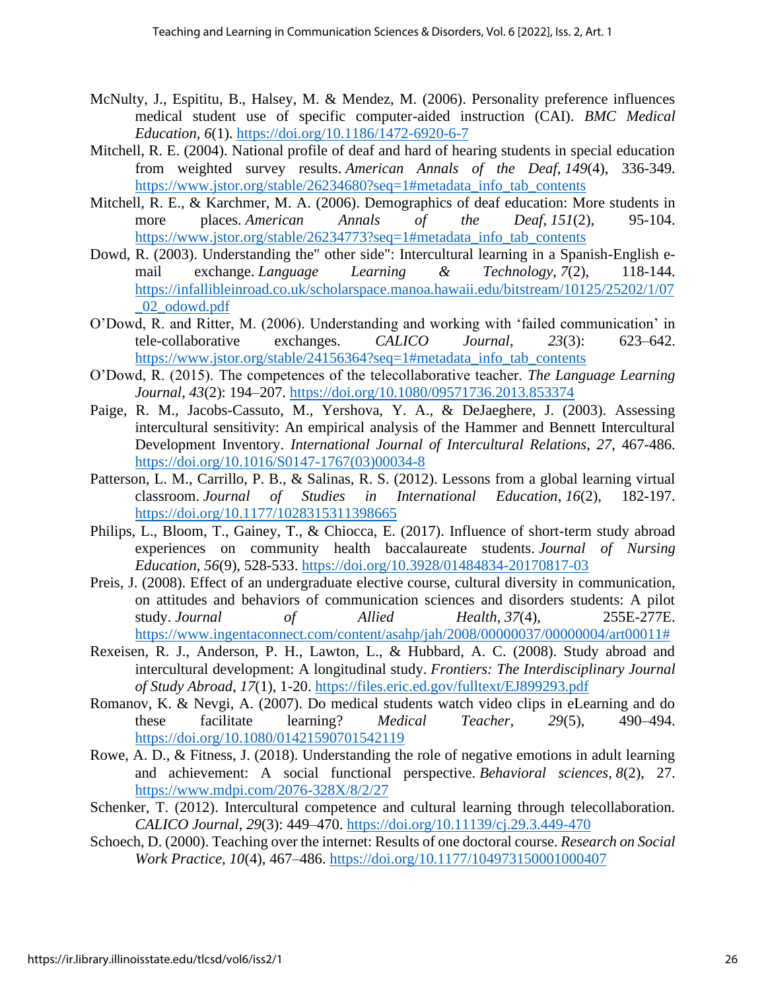- McNulty, J., Espititu, B., Halsey, M. & Mendez, M. (2006). Personality preference influences medical student use of specific computer-aided instruction (CAI). *BMC Medical Education, 6*(1).<https://doi.org/10.1186/1472-6920-6-7>
- Mitchell, R. E. (2004). National profile of deaf and hard of hearing students in special education from weighted survey results. *American Annals of the Deaf*, *149*(4), 336-349. [https://www.jstor.org/stable/26234680?seq=1#metadata\\_info\\_tab\\_contents](https://www.jstor.org/stable/26234680?seq=1#metadata_info_tab_contents)
- Mitchell, R. E., & Karchmer, M. A. (2006). Demographics of deaf education: More students in more places. *American Annals of the Deaf*, *151*(2), 95-104. [https://www.jstor.org/stable/26234773?seq=1#metadata\\_info\\_tab\\_contents](https://www.jstor.org/stable/26234773?seq=1#metadata_info_tab_contents)
- Dowd, R. (2003). Understanding the" other side": Intercultural learning in a Spanish-English email exchange. *Language Learning & Technology*, *7*(2), 118-144. [https://infallibleinroad.co.uk/scholarspace.manoa.hawaii.edu/bitstream/10125/25202/1/07](https://infallibleinroad.co.uk/scholarspace.manoa.hawaii.edu/bitstream/10125/25202/1/07_02_odowd.pdf) [\\_02\\_odowd.pdf](https://infallibleinroad.co.uk/scholarspace.manoa.hawaii.edu/bitstream/10125/25202/1/07_02_odowd.pdf)
- O'Dowd, R. and Ritter, M. (2006). Understanding and working with 'failed communication' in tele-collaborative exchanges. *CALICO Journal*, *23*(3): 623–642. [https://www.jstor.org/stable/24156364?seq=1#metadata\\_info\\_tab\\_contents](https://www.jstor.org/stable/24156364?seq=1#metadata_info_tab_contents)
- O'Dowd, R. (2015). The competences of the telecollaborative teacher. *The Language Learning Journal*, *43*(2): 194–207.<https://doi.org/10.1080/09571736.2013.853374>
- Paige, R. M., Jacobs-Cassuto, M., Yershova, Y. A., & DeJaeghere, J. (2003). Assessing intercultural sensitivity: An empirical analysis of the Hammer and Bennett Intercultural Development Inventory. *International Journal of Intercultural Relations*, *27*, 467-486. [https://doi.org/10.1016/S0147-1767\(03\)00034-8](https://doi.org/10.1016/S0147-1767(03)00034-8)
- Patterson, L. M., Carrillo, P. B., & Salinas, R. S. (2012). Lessons from a global learning virtual classroom. *Journal of Studies in International Education*, *16*(2), 182-197. <https://doi.org/10.1177/1028315311398665>
- Philips, L., Bloom, T., Gainey, T., & Chiocca, E. (2017). Influence of short-term study abroad experiences on community health baccalaureate students. *Journal of Nursing Education*, *56*(9), 528-533.<https://doi.org/10.3928/01484834-20170817-03>
- Preis, J. (2008). Effect of an undergraduate elective course, cultural diversity in communication, on attitudes and behaviors of communication sciences and disorders students: A pilot study. *Journal of Allied Health*, *37*(4), 255E-277E. [https://www.ingentaconnect.com/content/asahp/jah/2008/00000037/00000004/art00011#](https://www.ingentaconnect.com/content/asahp/jah/2008/00000037/00000004/art00011)
- Rexeisen, R. J., Anderson, P. H., Lawton, L., & Hubbard, A. C. (2008). Study abroad and intercultural development: A longitudinal study. *Frontiers: The Interdisciplinary Journal of Study Abroad*, *17*(1), 1-20. <https://files.eric.ed.gov/fulltext/EJ899293.pdf>
- Romanov, K. & Nevgi, A. (2007). Do medical students watch video clips in eLearning and do these facilitate learning? *Medical Teacher, 29*(5), 490–494. <https://doi.org/10.1080/01421590701542119>
- Rowe, A. D., & Fitness, J. (2018). Understanding the role of negative emotions in adult learning and achievement: A social functional perspective. *Behavioral sciences*, *8*(2), 27. <https://www.mdpi.com/2076-328X/8/2/27>
- Schenker, T. (2012). Intercultural competence and cultural learning through telecollaboration. *CALICO Journal*, *29*(3): 449–470.<https://doi.org/10.11139/cj.29.3.449-470>
- Schoech, D. (2000). Teaching over the internet: Results of one doctoral course. *Research on Social Work Practice, 10*(4), 467–486. [https://doi.org/10.1177/104973150001000407](https://doi.org/10.1177%2F104973150001000407)